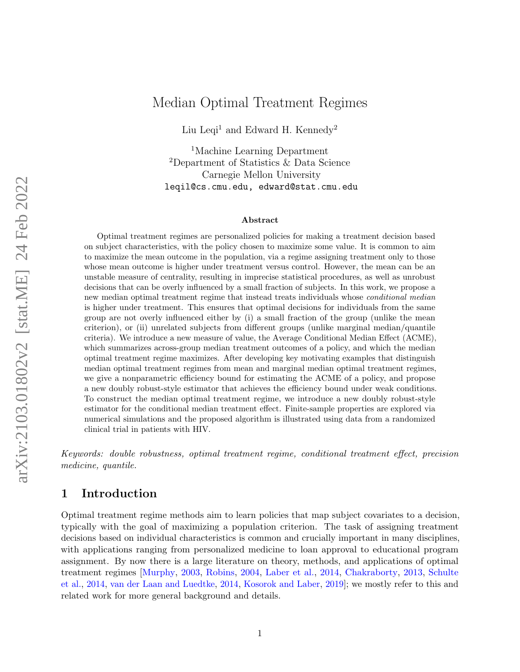# <span id="page-0-0"></span>Median Optimal Treatment Regimes

Liu Leqi<sup>1</sup> and Edward H. Kennedy<sup>2</sup>

<sup>1</sup>Machine Learning Department <sup>2</sup>Department of Statistics & Data Science Carnegie Mellon University [leqil@cs.cmu.edu,](mailto:leqil@cs.cmu.com) [edward@stat.cmu.edu](mailto:edward@stat.cmu.com)

#### Abstract

Optimal treatment regimes are personalized policies for making a treatment decision based on subject characteristics, with the policy chosen to maximize some value. It is common to aim to maximize the mean outcome in the population, via a regime assigning treatment only to those whose mean outcome is higher under treatment versus control. However, the mean can be an unstable measure of centrality, resulting in imprecise statistical procedures, as well as unrobust decisions that can be overly influenced by a small fraction of subjects. In this work, we propose a new median optimal treatment regime that instead treats individuals whose conditional median is higher under treatment. This ensures that optimal decisions for individuals from the same group are not overly influenced either by (i) a small fraction of the group (unlike the mean criterion), or (ii) unrelated subjects from different groups (unlike marginal median/quantile criteria). We introduce a new measure of value, the Average Conditional Median Effect (ACME), which summarizes across-group median treatment outcomes of a policy, and which the median optimal treatment regime maximizes. After developing key motivating examples that distinguish median optimal treatment regimes from mean and marginal median optimal treatment regimes, we give a nonparametric efficiency bound for estimating the ACME of a policy, and propose a new doubly robust-style estimator that achieves the efficiency bound under weak conditions. To construct the median optimal treatment regime, we introduce a new doubly robust-style estimator for the conditional median treatment effect. Finite-sample properties are explored via numerical simulations and the proposed algorithm is illustrated using data from a randomized clinical trial in patients with HIV.

Keywords: double robustness, optimal treatment regime, conditional treatment effect, precision medicine, quantile.

# <span id="page-0-1"></span>1 Introduction

Optimal treatment regime methods aim to learn policies that map subject covariates to a decision, typically with the goal of maximizing a population criterion. The task of assigning treatment decisions based on individual characteristics is common and crucially important in many disciplines, with applications ranging from personalized medicine to loan approval to educational program assignment. By now there is a large literature on theory, methods, and applications of optimal treatment regimes [\[Murphy,](#page-23-0) [2003,](#page-23-0) [Robins,](#page-23-1) [2004,](#page-23-1) [Laber et al.,](#page-22-0) [2014,](#page-22-0) [Chakraborty,](#page-21-0) [2013,](#page-21-0) [Schulte](#page-23-2) [et al.,](#page-23-2) [2014,](#page-23-2) [van der Laan and Luedtke,](#page-23-3) [2014,](#page-23-3) [Kosorok and Laber,](#page-22-1) [2019\]](#page-22-1); we mostly refer to this and related work for more general background and details.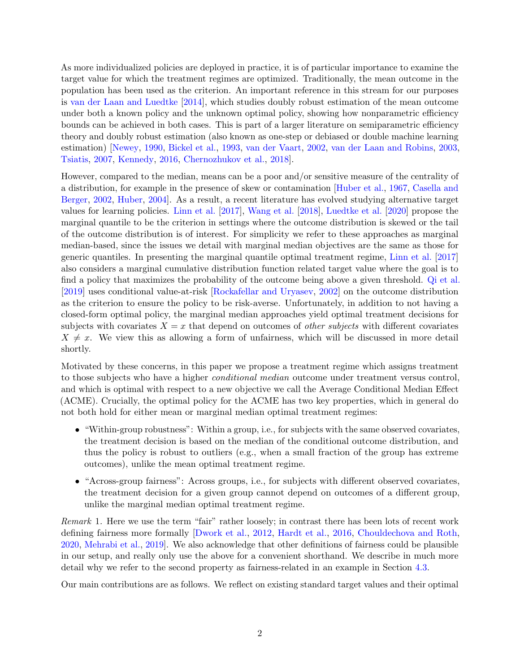As more individualized policies are deployed in practice, it is of particular importance to examine the target value for which the treatment regimes are optimized. Traditionally, the mean outcome in the population has been used as the criterion. An important reference in this stream for our purposes is [van der Laan and Luedtke](#page-23-3) [\[2014\]](#page-23-3), which studies doubly robust estimation of the mean outcome under both a known policy and the unknown optimal policy, showing how nonparametric efficiency bounds can be achieved in both cases. This is part of a larger literature on semiparametric efficiency theory and doubly robust estimation (also known as one-step or debiased or double machine learning estimation) [\[Newey,](#page-23-4) [1990,](#page-23-4) [Bickel et al.,](#page-21-1) [1993,](#page-21-1) [van der Vaart,](#page-24-0) [2002,](#page-24-0) [van der Laan and Robins,](#page-23-5) [2003,](#page-23-5) [Tsiatis,](#page-23-6) [2007,](#page-23-6) [Kennedy,](#page-22-2) [2016,](#page-22-2) [Chernozhukov et al.,](#page-21-2) [2018\]](#page-21-2).

However, compared to the median, means can be a poor and/or sensitive measure of the centrality of a distribution, for example in the presence of skew or contamination [\[Huber et al.,](#page-22-3) [1967,](#page-22-3) [Casella and](#page-21-3) [Berger,](#page-21-3) [2002,](#page-21-3) [Huber,](#page-22-4) [2004\]](#page-22-4). As a result, a recent literature has evolved studying alternative target values for learning policies. [Linn et al.](#page-22-5) [\[2017\]](#page-22-5), [Wang et al.](#page-24-1) [\[2018\]](#page-24-1), [Luedtke et al.](#page-22-6) [\[2020\]](#page-22-6) propose the marginal quantile to be the criterion in settings where the outcome distribution is skewed or the tail of the outcome distribution is of interest. For simplicity we refer to these approaches as marginal median-based, since the issues we detail with marginal median objectives are the same as those for generic quantiles. In presenting the marginal quantile optimal treatment regime, [Linn et al.](#page-22-5) [\[2017\]](#page-22-5) also considers a marginal cumulative distribution function related target value where the goal is to find a policy that maximizes the probability of the outcome being above a given threshold. [Qi et al.](#page-23-7) [\[2019\]](#page-23-7) uses conditional value-at-risk [\[Rockafellar and Uryasev,](#page-23-8) [2002\]](#page-23-8) on the outcome distribution as the criterion to ensure the policy to be risk-averse. Unfortunately, in addition to not having a closed-form optimal policy, the marginal median approaches yield optimal treatment decisions for subjects with covariates  $X = x$  that depend on outcomes of *other subjects* with different covariates  $X \neq x$ . We view this as allowing a form of unfairness, which will be discussed in more detail shortly.

Motivated by these concerns, in this paper we propose a treatment regime which assigns treatment to those subjects who have a higher conditional median outcome under treatment versus control, and which is optimal with respect to a new objective we call the Average Conditional Median Effect (ACME). Crucially, the optimal policy for the ACME has two key properties, which in general do not both hold for either mean or marginal median optimal treatment regimes:

- "Within-group robustness": Within a group, i.e., for subjects with the same observed covariates, the treatment decision is based on the median of the conditional outcome distribution, and thus the policy is robust to outliers (e.g., when a small fraction of the group has extreme outcomes), unlike the mean optimal treatment regime.
- "Across-group fairness": Across groups, i.e., for subjects with different observed covariates, the treatment decision for a given group cannot depend on outcomes of a different group, unlike the marginal median optimal treatment regime.

Remark 1. Here we use the term "fair" rather loosely; in contrast there has been lots of recent work defining fairness more formally [\[Dwork et al.,](#page-21-4) [2012,](#page-21-4) [Hardt et al.,](#page-21-5) [2016,](#page-21-5) [Chouldechova and Roth,](#page-21-6) [2020,](#page-21-6) [Mehrabi et al.,](#page-22-7) [2019\]](#page-22-7). We also acknowledge that other definitions of fairness could be plausible in our setup, and really only use the above for a convenient shorthand. We describe in much more detail why we refer to the second property as fairness-related in an example in Section [4.3.](#page-7-0)

Our main contributions are as follows. We reflect on existing standard target values and their optimal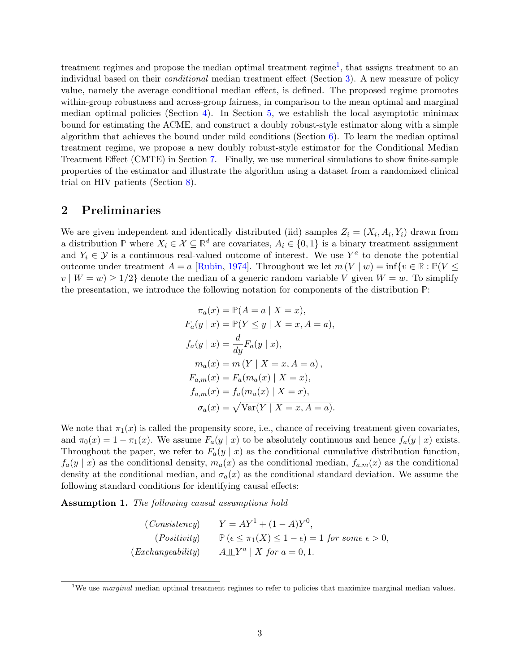treatment regimes and propose the median optimal treatment regime<sup>[1](#page-0-0)</sup>, that assigns treatment to an individual based on their conditional median treatment effect (Section [3\)](#page-3-0). A new measure of policy value, namely the average conditional median effect, is defined. The proposed regime promotes within-group robustness and across-group fairness, in comparison to the mean optimal and marginal median optimal policies (Section [4\)](#page-5-0). In Section [5,](#page-8-0) we establish the local asymptotic minimax bound for estimating the ACME, and construct a doubly robust-style estimator along with a simple algorithm that achieves the bound under mild conditions (Section  $6$ ). To learn the median optimal treatment regime, we propose a new doubly robust-style estimator for the Conditional Median Treatment Effect (CMTE) in Section [7.](#page-15-0) Finally, we use numerical simulations to show finite-sample properties of the estimator and illustrate the algorithm using a dataset from a randomized clinical trial on HIV patients (Section [8\)](#page-18-0).

### 2 Preliminaries

We are given independent and identically distributed (iid) samples  $Z_i = (X_i, A_i, Y_i)$  drawn from a distribution **P** where  $X_i \in \mathcal{X} \subseteq \mathbb{R}^d$  are covariates,  $A_i \in \{0,1\}$  is a binary treatment assignment and  $Y_i \in \mathcal{Y}$  is a continuous real-valued outcome of interest. We use  $Y^a$  to denote the potential outcome under treatment  $A = a$  [\[Rubin,](#page-23-9) [1974\]](#page-23-9). Throughout we let  $m(V | w) = \inf \{v \in \mathbb{R} : \mathbb{P}(V \leq$  $v \mid W = w$ )  $\geq 1/2$  denote the median of a generic random variable V given  $W = w$ . To simplify the presentation, we introduce the following notation for components of the distribution **P**:

$$
\pi_a(x) = \mathbb{P}(A = a | X = x),
$$
  
\n
$$
F_a(y | x) = \mathbb{P}(Y \le y | X = x, A = a),
$$
  
\n
$$
f_a(y | x) = \frac{d}{dy} F_a(y | x),
$$
  
\n
$$
m_a(x) = m (Y | X = x, A = a),
$$
  
\n
$$
F_{a,m}(x) = F_a(m_a(x) | X = x),
$$
  
\n
$$
f_{a,m}(x) = f_a(m_a(x) | X = x),
$$
  
\n
$$
\sigma_a(x) = \sqrt{\text{Var}(Y | X = x, A = a)}.
$$

We note that  $\pi_1(x)$  is called the propensity score, i.e., chance of receiving treatment given covariates, and  $\pi_0(x) = 1 - \pi_1(x)$ . We assume  $F_a(y | x)$  to be absolutely continuous and hence  $f_a(y | x)$  exists. Throughout the paper, we refer to  $F_a(y \mid x)$  as the conditional cumulative distribution function,  $f_a(y \mid x)$  as the conditional density,  $m_a(x)$  as the conditional median,  $f_{a,m}(x)$  as the conditional density at the conditional median, and  $\sigma_a(x)$  as the conditional standard deviation. We assume the following standard conditions for identifying causal effects:

<span id="page-2-0"></span>Assumption 1. The following causal assumptions hold

(Consistency) 
$$
Y = AY^{1} + (1 - A)Y^{0},
$$
  
(Positivity) 
$$
\mathbb{P}(\epsilon \le \pi_{1}(X) \le 1 - \epsilon) = 1 \text{ for some } \epsilon > 0,
$$
  
(Exchangeability) 
$$
A \perp Y^{a} | X \text{ for } a = 0, 1.
$$

<sup>&</sup>lt;sup>1</sup>We use *marginal* median optimal treatment regimes to refer to policies that maximize marginal median values.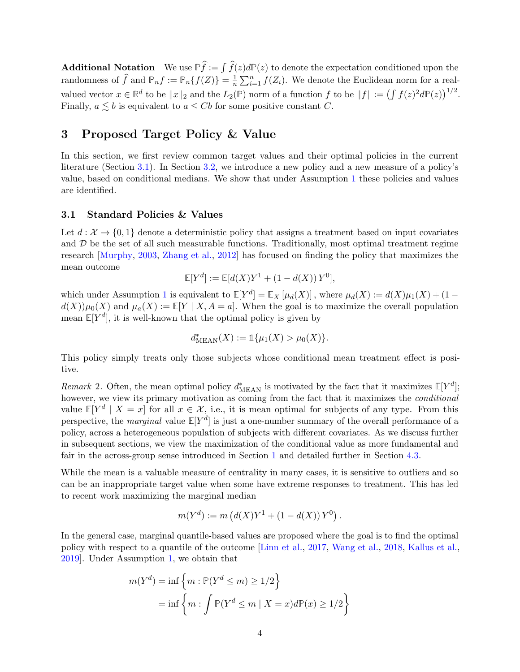**Additional Notation** We use  $\mathbb{P}\hat{f} := \int \hat{f}(z)d\mathbb{P}(z)$  to denote the expectation conditioned upon the randomness of  $\widehat{f}$  and  $\mathbb{P}_n f := \mathbb{P}_n \{f(Z)\} = \frac{1}{n}$  $\frac{1}{n} \sum_{i=1}^{n} f(Z_i)$ . We denote the Euclidean norm for a realvalued vector  $x \in \mathbb{R}^d$  to be  $||x||_2$  and the  $L_2(\mathbb{P})$  norm of a function f to be  $||f|| := (\int f(z)^2 d\mathbb{P}(z))^{1/2}$ . Finally,  $a \leq b$  is equivalent to  $a \leq Cb$  for some positive constant C.

# <span id="page-3-0"></span>3 Proposed Target Policy & Value

In this section, we first review common target values and their optimal policies in the current literature (Section [3.1\)](#page-3-1). In Section [3.2,](#page-4-0) we introduce a new policy and a new measure of a policy's value, based on conditional medians. We show that under Assumption [1](#page-2-0) these policies and values are identified.

### <span id="page-3-1"></span>3.1 Standard Policies & Values

Let  $d: \mathcal{X} \to \{0,1\}$  denote a deterministic policy that assigns a treatment based on input covariates and  $D$  be the set of all such measurable functions. Traditionally, most optimal treatment regime research [\[Murphy,](#page-23-0) [2003,](#page-23-0) [Zhang et al.,](#page-24-2) [2012\]](#page-24-2) has focused on finding the policy that maximizes the mean outcome

$$
\mathbb{E}[Y^d] := \mathbb{E}[d(X)Y^1 + (1 - d(X))Y^0],
$$

which under Assumption [1](#page-2-0) is equivalent to  $\mathbb{E}[Y^d] = \mathbb{E}_X[\mu_d(X)]$ , where  $\mu_d(X) := d(X)\mu_1(X) + (1$  $d(X)\mu_0(X)$  and  $\mu_a(X) := \mathbb{E}[Y | X, A = a]$ . When the goal is to maximize the overall population mean  $\mathbb{E}[Y^d]$ , it is well-known that the optimal policy is given by

$$
d^*_{\text{MEAN}}(X) := \mathbb{1}\{\mu_1(X) > \mu_0(X)\}.
$$

This policy simply treats only those subjects whose conditional mean treatment effect is positive.

<span id="page-3-2"></span>Remark 2. Often, the mean optimal policy  $d_{\text{MEAN}}^*$  is motivated by the fact that it maximizes  $\mathbb{E}[Y^d]$ ; however, we view its primary motivation as coming from the fact that it maximizes the *conditional* value  $\mathbb{E}[Y^d \mid X = x]$  for all  $x \in \mathcal{X}$ , i.e., it is mean optimal for subjects of any type. From this perspective, the *marginal* value  $\mathbb{E}[Y^d]$  is just a one-number summary of the overall performance of a policy, across a heterogeneous population of subjects with different covariates. As we discuss further in subsequent sections, we view the maximization of the conditional value as more fundamental and fair in the across-group sense introduced in Section [1](#page-0-1) and detailed further in Section [4.3.](#page-7-0)

While the mean is a valuable measure of centrality in many cases, it is sensitive to outliers and so can be an inappropriate target value when some have extreme responses to treatment. This has led to recent work maximizing the marginal median

$$
m(Yd) := m (d(X)Y1 + (1 - d(X)) Y0).
$$

In the general case, marginal quantile-based values are proposed where the goal is to find the optimal policy with respect to a quantile of the outcome [\[Linn et al.,](#page-22-5) [2017,](#page-22-5) [Wang et al.,](#page-24-1) [2018,](#page-24-1) [Kallus et al.,](#page-22-8) [2019\]](#page-22-8). Under Assumption [1,](#page-2-0) we obtain that

$$
m(Y^d) = \inf \left\{ m : \mathbb{P}(Y^d \le m) \ge 1/2 \right\}
$$
  
= 
$$
\inf \left\{ m : \int \mathbb{P}(Y^d \le m \mid X = x) d\mathbb{P}(x) \ge 1/2 \right\}
$$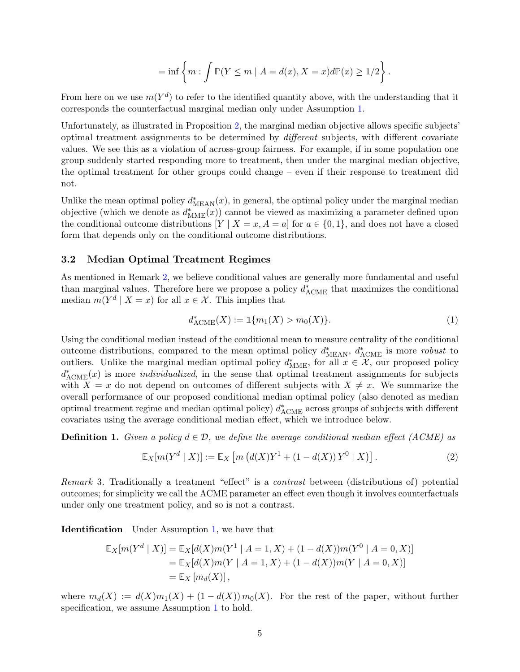$$
= \inf \left\{ m : \int \mathbb{P}(Y \le m \mid A = d(x), X = x) d\mathbb{P}(x) \ge 1/2 \right\}.
$$

From here on we use  $m(Y^d)$  to refer to the identified quantity above, with the understanding that it corresponds the counterfactual marginal median only under Assumption [1.](#page-2-0)

Unfortunately, as illustrated in Proposition [2,](#page-6-0) the marginal median objective allows specific subjects' optimal treatment assignments to be determined by different subjects, with different covariate values. We see this as a violation of across-group fairness. For example, if in some population one group suddenly started responding more to treatment, then under the marginal median objective, the optimal treatment for other groups could change – even if their response to treatment did not.

Unlike the mean optimal policy  $d^*_{\text{MEAN}}(x)$ , in general, the optimal policy under the marginal median objective (which we denote as  $d_{\text{MME}}^*(x)$ ) cannot be viewed as maximizing a parameter defined upon the conditional outcome distributions  $[Y \mid X = x, A = a]$  for  $a \in \{0, 1\}$ , and does not have a closed form that depends only on the conditional outcome distributions.

### <span id="page-4-0"></span>3.2 Median Optimal Treatment Regimes

As mentioned in Remark [2,](#page-3-2) we believe conditional values are generally more fundamental and useful than marginal values. Therefore here we propose a policy  $d^*_{ACME}$  that maximizes the conditional median  $m(Y^d | X = x)$  for all  $x \in \mathcal{X}$ . This implies that

<span id="page-4-1"></span>
$$
d_{\text{ACME}}^*(X) := \mathbb{1}\{m_1(X) > m_0(X)\}.
$$
 (1)

Using the conditional median instead of the conditional mean to measure centrality of the conditional outcome distributions, compared to the mean optimal policy  $d^*_{\text{MEAN}}$ ,  $d^*_{\text{ACME}}$  is more *robust* to outliers. Unlike the marginal median optimal policy  $d_{\text{MME}}^*$ , for all  $x \in \mathcal{X}$ , our proposed policy  $d^*_{\text{ACME}}(x)$  is more *individualized*, in the sense that optimal treatment assignments for subjects with  $X = x$  do not depend on outcomes of different subjects with  $X \neq x$ . We summarize the overall performance of our proposed conditional median optimal policy (also denoted as median optimal treatment regime and median optimal policy)  $d^*_{\text{ACME}}$  across groups of subjects with different covariates using the average conditional median effect, which we introduce below.

**Definition 1.** Given a policy  $d \in \mathcal{D}$ , we define the average conditional median effect (ACME) as

$$
\mathbb{E}_X[m(Y^d \mid X)] := \mathbb{E}_X[m(d(X)Y^1 + (1 - d(X))Y^0 \mid X)]. \tag{2}
$$

Remark 3. Traditionally a treatment "effect" is a contrast between (distributions of) potential outcomes; for simplicity we call the ACME parameter an effect even though it involves counterfactuals under only one treatment policy, and so is not a contrast.

Identification Under Assumption [1,](#page-2-0) we have that

$$
\mathbb{E}_X[m(Y^d | X)] = \mathbb{E}_X[d(X)m(Y^1 | A = 1, X) + (1 - d(X))m(Y^0 | A = 0, X)]
$$
  
=  $\mathbb{E}_X[d(X)m(Y | A = 1, X) + (1 - d(X))m(Y | A = 0, X)]$   
=  $\mathbb{E}_X[m_d(X)],$ 

where  $m_d(X) := d(X)m_1(X) + (1 - d(X))m_0(X)$ . For the rest of the paper, without further specification, we assume Assumption [1](#page-2-0) to hold.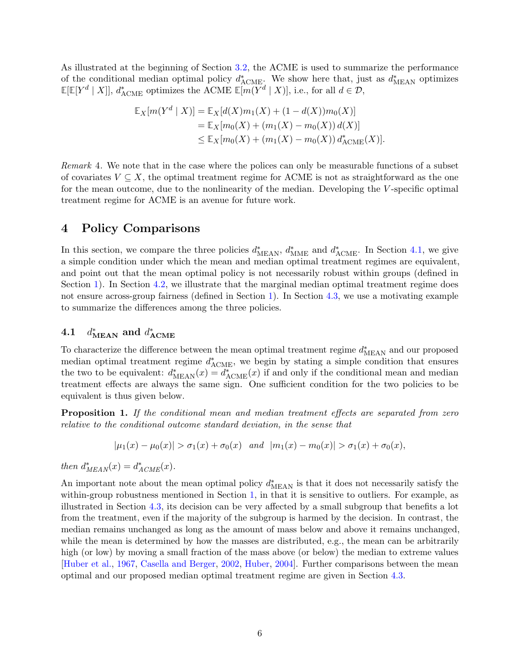As illustrated at the beginning of Section [3.2,](#page-4-0) the ACME is used to summarize the performance of the conditional median optimal policy  $d^*_{\text{ACME}}$ . We show here that, just as  $d^*_{\text{MEAN}}$  optimizes  $\mathbb{E}[\mathbb{E}[Y^d | X]], d^*_{\text{ACME}}$  optimizes the ACME  $\mathbb{E}[m(Y^d | X)],$  i.e., for all  $d \in \mathcal{D}$ ,

$$
\mathbb{E}_X[m(Y^d | X)] = \mathbb{E}_X[d(X)m_1(X) + (1 - d(X))m_0(X)]
$$
  
= 
$$
\mathbb{E}_X[m_0(X) + (m_1(X) - m_0(X))d(X)]
$$
  

$$
\leq \mathbb{E}_X[m_0(X) + (m_1(X) - m_0(X))d_{\text{ACME}}^*(X)].
$$

Remark 4. We note that in the case where the polices can only be measurable functions of a subset of covariates  $V \subseteq X$ , the optimal treatment regime for ACME is not as straightforward as the one for the mean outcome, due to the nonlinearity of the median. Developing the V-specific optimal treatment regime for ACME is an avenue for future work.

# <span id="page-5-0"></span>4 Policy Comparisons

In this section, we compare the three policies  $d_{\text{MEAN}}^*$ ,  $d_{\text{MME}}^*$  and  $d_{\text{ACME}}^*$ . In Section [4.1,](#page-5-1) we give a simple condition under which the mean and median optimal treatment regimes are equivalent, and point out that the mean optimal policy is not necessarily robust within groups (defined in Section [1\)](#page-0-1). In Section [4.2,](#page-6-1) we illustrate that the marginal median optimal treatment regime does not ensure across-group fairness (defined in Section [1\)](#page-0-1). In Section [4.3,](#page-7-0) we use a motivating example to summarize the differences among the three policies.

#### <span id="page-5-1"></span>4.1 d  $_{\mathtt{MEAN}}^*$  and  $d^*_{\mathtt{ACME}}$

To characterize the difference between the mean optimal treatment regime  $d^*_{\text{MEAN}}$  and our proposed median optimal treatment regime  $d^*_{ACME}$ , we begin by stating a simple condition that ensures the two to be equivalent:  $d^*_{\text{MEAN}}(x) = d^*_{\text{ACME}}(x)$  if and only if the conditional mean and median treatment effects are always the same sign. One sufficient condition for the two policies to be equivalent is thus given below.

<span id="page-5-2"></span>**Proposition 1.** If the conditional mean and median treatment effects are separated from zero relative to the conditional outcome standard deviation, in the sense that

$$
|\mu_1(x) - \mu_0(x)| > \sigma_1(x) + \sigma_0(x) \quad and \quad |m_1(x) - m_0(x)| > \sigma_1(x) + \sigma_0(x),
$$

then  $d_{MEAN}^*(x) = d_{ACME}^*(x)$ .

An important note about the mean optimal policy  $d_{\text{MEAN}}^*$  is that it does not necessarily satisfy the within-group robustness mentioned in Section [1,](#page-0-1) in that it is sensitive to outliers. For example, as illustrated in Section [4.3,](#page-7-0) its decision can be very affected by a small subgroup that benefits a lot from the treatment, even if the majority of the subgroup is harmed by the decision. In contrast, the median remains unchanged as long as the amount of mass below and above it remains unchanged, while the mean is determined by how the masses are distributed, e.g., the mean can be arbitrarily high (or low) by moving a small fraction of the mass above (or below) the median to extreme values [\[Huber et al.,](#page-22-3) [1967,](#page-22-3) [Casella and Berger,](#page-21-3) [2002,](#page-21-3) [Huber,](#page-22-4) [2004\]](#page-22-4). Further comparisons between the mean optimal and our proposed median optimal treatment regime are given in Section [4.3.](#page-7-0)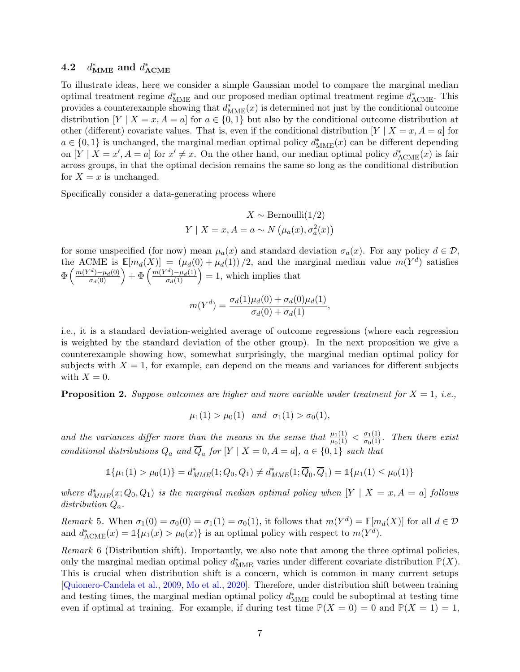#### <span id="page-6-1"></span> $4.2$  $_{\rm{MME}}^*$  and  $d_{\rm{ACME}}^*$

To illustrate ideas, here we consider a simple Gaussian model to compare the marginal median optimal treatment regime  $d_{\text{MME}}^*$  and our proposed median optimal treatment regime  $d_{\text{ACME}}^*$ . This provides a counterexample showing that  $d_{\text{MME}}^*(x)$  is determined not just by the conditional outcome distribution  $[Y \mid X = x, A = a]$  for  $a \in \{0, 1\}$  but also by the conditional outcome distribution at other (different) covariate values. That is, even if the conditional distribution  $[Y \mid X = x, A = a]$  for  $a \in \{0,1\}$  is unchanged, the marginal median optimal policy  $d^*_{\text{MME}}(x)$  can be different depending on  $[Y \mid X = x', A = a]$  for  $x' \neq x$ . On the other hand, our median optimal policy  $d_{\text{ACME}}^*(x)$  is fair across groups, in that the optimal decision remains the same so long as the conditional distribution for  $X = x$  is unchanged.

Specifically consider a data-generating process where

$$
X \sim \text{Bernoulli}(1/2)
$$
  
 
$$
Y \mid X = x, A = a \sim N(\mu_a(x), \sigma_a^2(x))
$$

for some unspecified (for now) mean  $\mu_a(x)$  and standard deviation  $\sigma_a(x)$ . For any policy  $d \in \mathcal{D}$ , the ACME is  $\mathbb{E}[m_d(X)] = (\mu_d(0) + \mu_d(1))/2$ , and the marginal median value  $m(Y^d)$  satisfies  $\Phi\left(\frac{m(Y^d) - \mu_d(0)}{\sigma_d(0)}\right) + \Phi\left(\frac{m(Y^d) - \mu_d(1)}{\sigma_d(1)}\right) = 1$ , which implies that

$$
m(Y^{d}) = \frac{\sigma_d(1)\mu_d(0) + \sigma_d(0)\mu_d(1)}{\sigma_d(0) + \sigma_d(1)},
$$

i.e., it is a standard deviation-weighted average of outcome regressions (where each regression is weighted by the standard deviation of the other group). In the next proposition we give a counterexample showing how, somewhat surprisingly, the marginal median optimal policy for subjects with  $X = 1$ , for example, can depend on the means and variances for different subjects with  $X = 0$ .

<span id="page-6-0"></span>**Proposition 2.** Suppose outcomes are higher and more variable under treatment for  $X = 1$ , i.e.,

$$
\mu_1(1) > \mu_0(1)
$$
 and  $\sigma_1(1) > \sigma_0(1)$ ,

and the variances differ more than the means in the sense that  $\frac{\mu_1(1)}{\mu_0(1)} < \frac{\sigma_1(1)}{\sigma_0(1)}$ . Then there exist conditional distributions  $Q_a$  and  $\overline{Q}_a$  for  $[Y | X = 0, A = a]$ ,  $a \in \{0, 1\}$  such that

$$
\mathbb{1}\{\mu_1(1) > \mu_0(1)\} = d^*_{MME}(1; Q_0, Q_1) \neq d^*_{MME}(1; \overline{Q}_0, \overline{Q}_1) = \mathbb{1}\{\mu_1(1) \leq \mu_0(1)\}
$$

where  $d_{MME}^*(x; Q_0, Q_1)$  is the marginal median optimal policy when  $[Y | X = x, A = a]$  follows distribution  $Q_a$ .

Remark 5. When  $\sigma_1(0) = \sigma_0(0) = \sigma_1(1) = \sigma_0(1)$ , it follows that  $m(Y^d) = \mathbb{E}[m_d(X)]$  for all  $d \in \mathcal{D}$ and  $d_{\text{ACME}}^*(x) = \mathbb{1}\{\mu_1(x) > \mu_0(x)\}\$ is an optimal policy with respect to  $m(Y^d)$ .

Remark 6 (Distribution shift). Importantly, we also note that among the three optimal policies, only the marginal median optimal policy  $d_{\text{MME}}^*$  varies under different covariate distribution  $\mathbb{P}(X)$ . This is crucial when distribution shift is a concern, which is common in many current setups [\[Quionero-Candela et al.,](#page-23-10) [2009,](#page-23-10) [Mo et al.,](#page-23-11) [2020\]](#page-23-11). Therefore, under distribution shift between training and testing times, the marginal median optimal policy  $d^*_{\text{MME}}$  could be suboptimal at testing time even if optimal at training. For example, if during test time  $P(X = 0) = 0$  and  $P(X = 1) = 1$ ,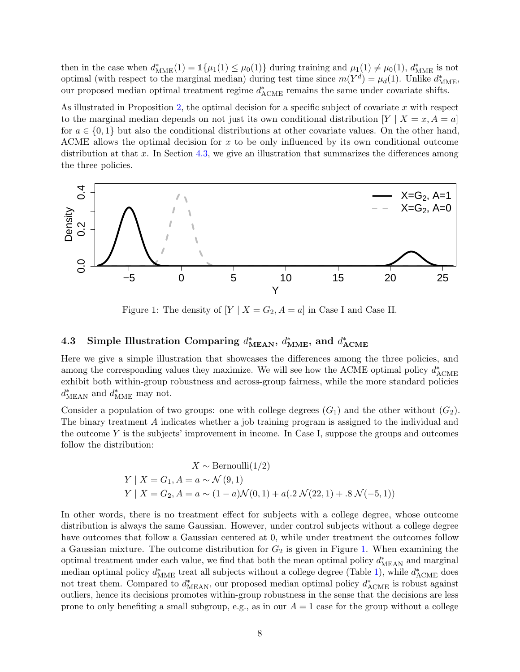then in the case when  $d_{\text{MME}}^*(1) = \mathbb{1}{\mu_1(1) \leq \mu_0(1)}$  during training and  $\mu_1(1) \neq \mu_0(1)$ ,  $d_{\text{MME}}^*$  is not optimal (with respect to the marginal median) during test time since  $m(Y^d) = \mu_d(1)$ . Unlike  $d_{\text{MME}}^*$ , our proposed median optimal treatment regime  $d^*_{\text{ACME}}$  remains the same under covariate shifts.

As illustrated in Proposition [2,](#page-6-0) the optimal decision for a specific subject of covariate  $x$  with respect to the marginal median depends on not just its own conditional distribution  $[Y | X = x, A = a]$ for  $a \in \{0,1\}$  but also the conditional distributions at other covariate values. On the other hand, ACME allows the optimal decision for x to be only influenced by its own conditional outcome distribution at that x. In Section [4.3,](#page-7-0) we give an illustration that summarizes the differences among the three policies.

<span id="page-7-1"></span>

Figure 1: The density of  $[Y \mid X = G_2, A = a]$  in Case I and Case II.

# <span id="page-7-0"></span>4.3 Simple Illustration Comparing  $d_{\text{MEAN}}^*$ ,  $d_{\text{MME}}^*$ , and  $d_{\text{ACME}}^*$

Here we give a simple illustration that showcases the differences among the three policies, and among the corresponding values they maximize. We will see how the ACME optimal policy  $d^*_{\text{ACME}}$ exhibit both within-group robustness and across-group fairness, while the more standard policies  $d^*_{\text{MEAN}}$  and  $d^*_{\text{MME}}$  may not.

Consider a population of two groups: one with college degrees  $(G_1)$  and the other without  $(G_2)$ . The binary treatment A indicates whether a job training program is assigned to the individual and the outcome  $Y$  is the subjects' improvement in income. In Case I, suppose the groups and outcomes follow the distribution:

$$
X \sim \text{Bernoulli}(1/2)
$$
  
 
$$
Y \mid X = G_1, A = a \sim \mathcal{N}(9, 1)
$$
  
 
$$
Y \mid X = G_2, A = a \sim (1 - a)\mathcal{N}(0, 1) + a(.2 \mathcal{N}(22, 1) + .8 \mathcal{N}(-5, 1))
$$

In other words, there is no treatment effect for subjects with a college degree, whose outcome distribution is always the same Gaussian. However, under control subjects without a college degree have outcomes that follow a Gaussian centered at 0, while under treatment the outcomes follow a Gaussian mixture. The outcome distribution for  $G_2$  is given in Figure [1.](#page-7-1) When examining the optimal treatment under each value, we find that both the mean optimal policy  $d^*_{\text{MEAN}}$  and marginal median optimal policy  $d_{\text{MME}}^*$  treat all subjects without a college degree (Table [1\)](#page-8-1), while  $d_{\text{ACME}}^*$  does not treat them. Compared to  $d_{\text{MEAN}}^*$ , our proposed median optimal policy  $d_{\text{ACME}}^*$  is robust against outliers, hence its decisions promotes within-group robustness in the sense that the decisions are less prone to only benefiting a small subgroup, e.g., as in our  $A = 1$  case for the group without a college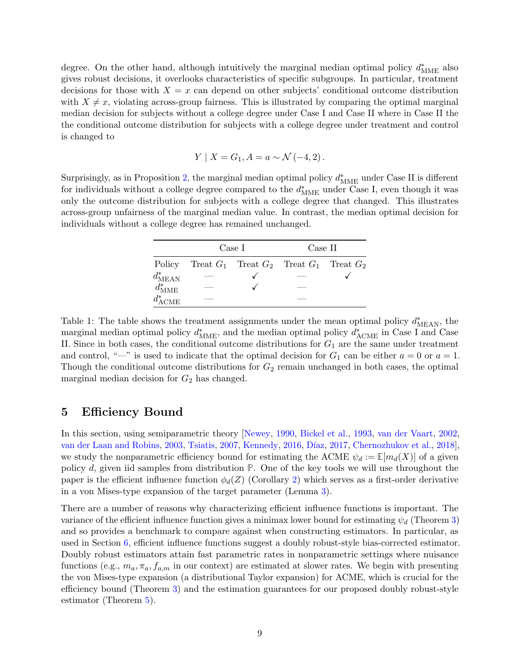degree. On the other hand, although intuitively the marginal median optimal policy  $d<sup>*</sup><sub>MME</sub>$  also gives robust decisions, it overlooks characteristics of specific subgroups. In particular, treatment decisions for those with  $X = x$  can depend on other subjects' conditional outcome distribution with  $X \neq x$ , violating across-group fairness. This is illustrated by comparing the optimal marginal median decision for subjects without a college degree under Case I and Case II where in Case II the the conditional outcome distribution for subjects with a college degree under treatment and control is changed to

$$
Y \mid X = G_1, A = a \sim \mathcal{N}(-4, 2)
$$
.

<span id="page-8-1"></span>Surprisingly, as in Proposition [2,](#page-6-0) the marginal median optimal policy  $d<sub>MME</sub><sup>*</sup>$  under Case II is different for individuals without a college degree compared to the  $d<sub>MME</sub><sup>*</sup>$  under Case I, even though it was only the outcome distribution for subjects with a college degree that changed. This illustrates across-group unfairness of the marginal median value. In contrast, the median optimal decision for individuals without a college degree has remained unchanged.

|                      | Case I |                                                 | Case II |  |
|----------------------|--------|-------------------------------------------------|---------|--|
| Policy               |        | Treat $G_1$ Treat $G_2$ Treat $G_1$ Treat $G_2$ |         |  |
| $d^*_{\text{MEAN}}$  |        |                                                 |         |  |
| $d_{\mathrm{MME}}^*$ |        |                                                 |         |  |
| $d^*_{\text{ACME}}$  |        |                                                 |         |  |

Table 1: The table shows the treatment assignments under the mean optimal policy  $d^*_{\text{MEAN}}$ , the marginal median optimal policy  $d<sub>MME</sub><sup>*</sup>$ , and the median optimal policy  $d<sub>ACME</sub><sup>*</sup>$  in Case I and Case II. Since in both cases, the conditional outcome distributions for  $G_1$  are the same under treatment and control, "—" is used to indicate that the optimal decision for  $G_1$  can be either  $a = 0$  or  $a = 1$ . Though the conditional outcome distributions for  $G_2$  remain unchanged in both cases, the optimal marginal median decision for  $G_2$  has changed.

## <span id="page-8-0"></span>5 Efficiency Bound

In this section, using semiparametric theory [\[Newey,](#page-23-4) [1990,](#page-23-4) [Bickel et al.,](#page-21-1) [1993,](#page-21-1) [van der Vaart,](#page-24-0) [2002,](#page-24-0) [van der Laan and Robins,](#page-23-5) [2003,](#page-23-5) [Tsiatis,](#page-23-6) [2007,](#page-23-6) [Kennedy,](#page-22-2) [2016,](#page-22-2) Díaz, [2017,](#page-21-7) [Chernozhukov et al.,](#page-21-2) [2018\]](#page-21-2). we study the nonparametric efficiency bound for estimating the ACME  $\psi_d := \mathbb{E}[m_d(X)]$  of a given policy d, given iid samples from distribution **P**. One of the key tools we will use throughout the paper is the efficient influence function  $\phi_d(Z)$  (Corollary [2\)](#page-10-0) which serves as a first-order derivative in a von Mises-type expansion of the target parameter (Lemma [3\)](#page-9-0).

There are a number of reasons why characterizing efficient influence functions is important. The variance of the efficient influence function gives a minimax lower bound for estimating  $\psi_d$  (Theorem [3\)](#page-10-1) and so provides a benchmark to compare against when constructing estimators. In particular, as used in Section [6,](#page-11-0) efficient influence functions suggest a doubly robust-style bias-corrected estimator. Doubly robust estimators attain fast parametric rates in nonparametric settings where nuisance functions (e.g.,  $m_a, \pi_a, f_{a,m}$  in our context) are estimated at slower rates. We begin with presenting the von Mises-type expansion (a distributional Taylor expansion) for ACME, which is crucial for the efficiency bound (Theorem [3\)](#page-10-1) and the estimation guarantees for our proposed doubly robust-style estimator (Theorem [5\)](#page-12-0).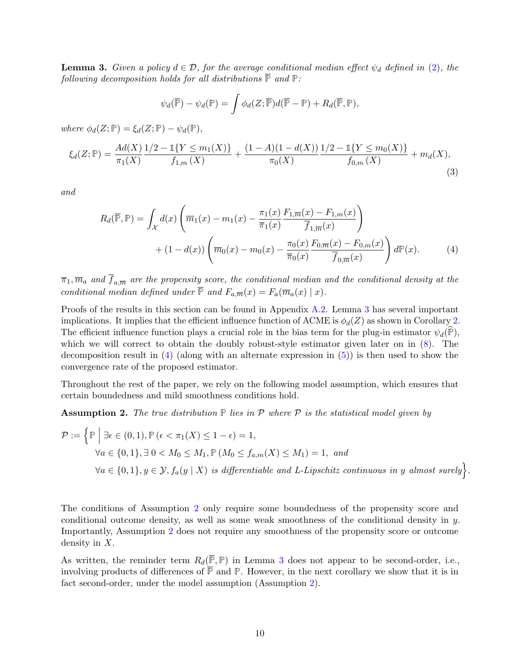**Lemma 3.** Given a policy  $d \in \mathcal{D}$ , for the average conditional median effect  $\psi_d$  defined in [\(2\)](#page-4-1), the following decomposition holds for all distributions  $\overline{P}$  and  $P$ :

<span id="page-9-2"></span>
$$
\psi_d(\overline{\mathbb{P}}) - \psi_d(\mathbb{P}) = \int \phi_d(Z; \overline{\mathbb{P}}) d(\overline{\mathbb{P}} - \mathbb{P}) + R_d(\overline{\mathbb{P}}, \mathbb{P}),
$$

 $where \ \phi_d(Z; \mathbb{P}) = \xi_d(Z; \mathbb{P}) - \psi_d(\mathbb{P}),$ 

$$
\xi_d(Z; \mathbb{P}) = \frac{Ad(X)}{\pi_1(X)} \frac{1/2 - 1\{Y \le m_1(X)\}}{f_{1,m}(X)} + \frac{(1 - A)(1 - d(X))}{\pi_0(X)} \frac{1/2 - 1\{Y \le m_0(X)\}}{f_{0,m}(X)} + m_d(X),\tag{3}
$$

and

$$
R_d(\overline{\mathbb{P}}, \mathbb{P}) = \int_{\mathcal{X}} d(x) \left( \overline{m}_1(x) - m_1(x) - \frac{\pi_1(x)}{\overline{\pi}_1(x)} \frac{F_{1,\overline{m}}(x) - F_{1,m}(x)}{\overline{f}_{1,\overline{m}}(x)} \right) + (1 - d(x)) \left( \overline{m}_0(x) - m_0(x) - \frac{\pi_0(x)}{\overline{\pi}_0(x)} \frac{F_{0,\overline{m}}(x) - F_{0,m}(x)}{\overline{f}_{0,\overline{m}}(x)} \right) d\mathbb{P}(x).
$$
 (4)

 $\overline{\pi}_1, \overline{m}_a$  and  ${f}_{a,\overline{m}}$  are the propensity score, the conditional median and the conditional density at the conditional median defined under  $\overline{P}$  and  $F_{a,\overline{m}}(x) = F_a(\overline{m}_a(x) | x)$ .

Proofs of the results in this section can be found in Appendix [A.2.](#page-25-0) Lemma [3](#page-9-0) has several important implications. It implies that the efficient influence function of ACME is  $\phi_d(Z)$  as shown in Corollary [2.](#page-10-0) The efficient influence function plays a crucial role in the bias term for the plug-in estimator  $\psi_d(\mathbb{P})$ , which we will correct to obtain the doubly robust-style estimator given later on in [\(8\)](#page-11-1). The decomposition result in  $(4)$  (along with an alternate expression in  $(5)$ ) is then used to show the convergence rate of the proposed estimator.

Throughout the rest of the paper, we rely on the following model assumption, which ensures that certain boundedness and mild smoothness conditions hold.

<span id="page-9-1"></span>**Assumption 2.** The true distribution  $\mathbb P$  lies in  $\mathcal P$  where  $\mathcal P$  is the statistical model given by

$$
\mathcal{P} := \left\{ \mathbb{P} \mid \exists \epsilon \in (0,1), \mathbb{P} \left( \epsilon < \pi_1(X) \le 1 - \epsilon \right) = 1, \right\}
$$
\n
$$
\forall a \in \{0,1\}, \exists \ 0 < M_0 \le M_1, \mathbb{P} \left( M_0 \le f_{a,m}(X) \le M_1 \right) = 1, \ and
$$
\n
$$
\forall a \in \{0,1\}, y \in \mathcal{Y}, f_a(y \mid X) \text{ is differentiable and } L\text{-Lipschitz continuous in } y \text{ almost surely} \right\}
$$

<span id="page-9-0"></span>.

The conditions of Assumption [2](#page-9-1) only require some boundedness of the propensity score and conditional outcome density, as well as some weak smoothness of the conditional density in y. Importantly, Assumption [2](#page-9-1) does not require any smoothness of the propensity score or outcome density in X.

As written, the reminder term  $R_d(\overline{\mathbb{P}}, \mathbb{P})$  in Lemma [3](#page-9-0) does not appear to be second-order, i.e., involving products of differences of  $\overline{P}$  and  $P$ . However, in the next corollary we show that it is in fact second-order, under the model assumption (Assumption [2\)](#page-9-1).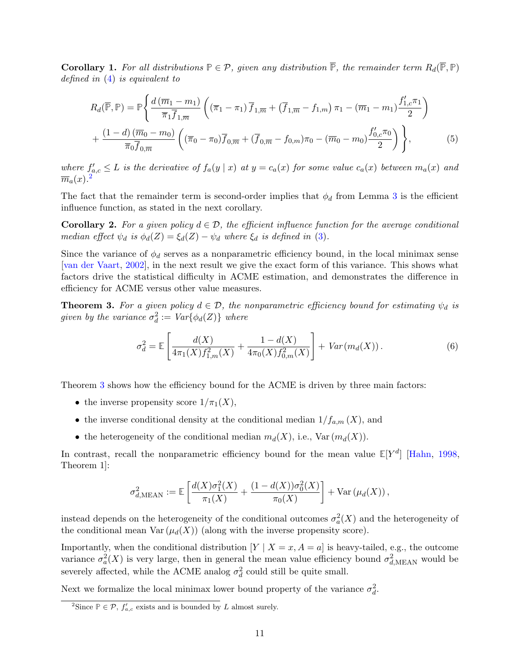<span id="page-10-3"></span>**Corollary 1.** For all distributions  $\mathbb{P} \in \mathcal{P}$ , given any distribution  $\overline{\mathbb{P}}$ , the remainder term  $R_d(\overline{\mathbb{P}}, \mathbb{P})$ defined in [\(4\)](#page-9-0) is equivalent to

<span id="page-10-2"></span>
$$
R_d(\overline{\mathbb{P}}, \mathbb{P}) = \mathbb{P}\left\{\frac{d(\overline{m}_1 - m_1)}{\overline{\pi}_1 \overline{f}_{1,\overline{m}}} \left((\overline{\pi}_1 - \pi_1) \overline{f}_{1,\overline{m}} + (\overline{f}_{1,\overline{m}} - f_{1,m}) \pi_1 - (\overline{m}_1 - m_1) \frac{f'_{1,c} \pi_1}{2}\right) + \frac{(1-d)(\overline{m}_0 - m_0)}{\overline{\pi}_0 \overline{f}_{0,\overline{m}}} \left((\overline{\pi}_0 - \pi_0) \overline{f}_{0,\overline{m}} + (\overline{f}_{0,\overline{m}} - f_{0,m}) \pi_0 - (\overline{m}_0 - m_0) \frac{f'_{0,c} \pi_0}{2}\right)\right\},
$$
(5)

where  $f'_{a,c} \leq L$  is the derivative of  $f_a(y \mid x)$  at  $y = c_a(x)$  for some value  $c_a(x)$  between  $m_a(x)$  and  $\overline{m}_a(x).^2$  $\overline{m}_a(x).^2$ 

The fact that the remainder term is second-order implies that  $\phi_d$  from Lemma [3](#page-9-0) is the efficient influence function, as stated in the next corollary.

<span id="page-10-0"></span>**Corollary 2.** For a given policy  $d \in \mathcal{D}$ , the efficient influence function for the average conditional median effect  $\psi_d$  is  $\phi_d(Z) = \xi_d(Z) - \psi_d$  where  $\xi_d$  is defined in [\(3\)](#page-9-2).

Since the variance of  $\phi_d$  serves as a nonparametric efficiency bound, in the local minimax sense [\[van der Vaart,](#page-24-0) [2002\]](#page-24-0), in the next result we give the exact form of this variance. This shows what factors drive the statistical difficulty in ACME estimation, and demonstrates the difference in efficiency for ACME versus other value measures.

**Theorem 3.** For a given policy  $d \in \mathcal{D}$ , the nonparametric efficiency bound for estimating  $\psi_d$  is given by the variance  $\sigma_d^2 := Var\{\phi_d(Z)\}$  where

<span id="page-10-1"></span>
$$
\sigma_d^2 = \mathbb{E}\left[\frac{d(X)}{4\pi_1(X)f_{1,m}^2(X)} + \frac{1 - d(X)}{4\pi_0(X)f_{0,m}^2(X)}\right] + Var(m_d(X)).\tag{6}
$$

Theorem [3](#page-10-1) shows how the efficiency bound for the ACME is driven by three main factors:

- the inverse propensity score  $1/\pi_1(X)$ ,
- the inverse conditional density at the conditional median  $1/f_{a,m}(X)$ , and
- the heterogeneity of the conditional median  $m_d(X)$ , i.e.,  $\text{Var}(m_d(X))$ .

In contrast, recall the nonparametric efficiency bound for the mean value  $\mathbb{E}[Y^d]$  [\[Hahn,](#page-21-8) [1998,](#page-21-8) Theorem 1]:

$$
\sigma_{d,\text{MEAN}}^2 := \mathbb{E}\left[\frac{d(X)\sigma_1^2(X)}{\pi_1(X)} + \frac{(1-d(X))\sigma_0^2(X)}{\pi_0(X)}\right] + \text{Var}\left(\mu_d(X)\right),
$$

instead depends on the heterogeneity of the conditional outcomes  $\sigma_a^2(X)$  and the heterogeneity of the conditional mean  $\text{Var}(\mu_d(X))$  (along with the inverse propensity score).

Importantly, when the conditional distribution  $[Y | X = x, A = a]$  is heavy-tailed, e.g., the outcome variance  $\sigma_a^2(X)$  is very large, then in general the mean value efficiency bound  $\sigma_{d,MEAN}^2$  would be severely affected, while the ACME analog  $\sigma_d^2$  could still be quite small.

Next we formalize the local minimax lower bound property of the variance  $\sigma_d^2$ .

<sup>&</sup>lt;sup>2</sup>Since  $P \in \mathcal{P}$ ,  $f'_{a,c}$  exists and is bounded by L almost surely.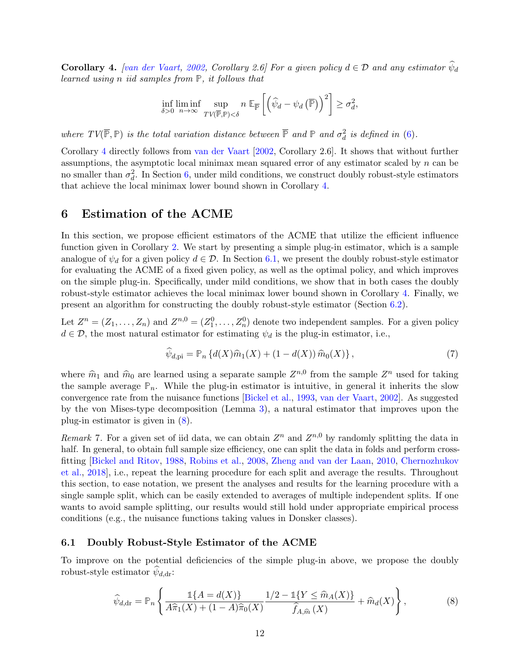<span id="page-11-2"></span>**Corollary 4.** [\[van der Vaart,](#page-24-0) [2002,](#page-24-0) Corollary 2.6] For a given policy  $d \in \mathcal{D}$  and any estimator  $\psi_d$ learned using n iid samples from **P**, it follows that

$$
\inf_{\delta>0} \liminf_{n\to\infty} \sup_{TV(\overline{\mathbb{P}}, \mathbb{P})<\delta} n \mathbb{E}_{\overline{\mathbb{P}}} \left[ \left( \widehat{\psi}_d - \psi_d \left( \overline{\mathbb{P}} \right) \right)^2 \right] \geq \sigma_d^2,
$$

where  $TV(\overline{\mathbb{P}}, \mathbb{P})$  is the total variation distance between  $\overline{\mathbb{P}}$  and  $\mathbb{P}$  and  $\sigma_d^2$  is defined in [\(6\)](#page-10-1).

Corollary [4](#page-11-2) directly follows from [van der Vaart](#page-24-0) [\[2002,](#page-24-0) Corollary 2.6]. It shows that without further assumptions, the asymptotic local minimax mean squared error of any estimator scaled by  $n$  can be no smaller than  $\sigma_d^2$ . In Section [6,](#page-11-0) under mild conditions, we construct doubly robust-style estimators that achieve the local minimax lower bound shown in Corollary [4.](#page-11-2)

## <span id="page-11-0"></span>6 Estimation of the ACME

In this section, we propose efficient estimators of the ACME that utilize the efficient influence function given in Corollary [2.](#page-10-0) We start by presenting a simple plug-in estimator, which is a sample analogue of  $\psi_d$  for a given policy  $d \in \mathcal{D}$ . In Section [6.1,](#page-11-3) we present the doubly robust-style estimator for evaluating the ACME of a fixed given policy, as well as the optimal policy, and which improves on the simple plug-in. Specifically, under mild conditions, we show that in both cases the doubly robust-style estimator achieves the local minimax lower bound shown in Corollary [4.](#page-11-2) Finally, we present an algorithm for constructing the doubly robust-style estimator (Section [6.2\)](#page-14-0).

Let  $Z^n = (Z_1, \ldots, Z_n)$  and  $Z^{n,0} = (Z_1^0, \ldots, Z_n^0)$  denote two independent samples. For a given policy  $d \in \mathcal{D}$ , the most natural estimator for estimating  $\psi_d$  is the plug-in estimator, i.e.,

<span id="page-11-4"></span>
$$
\widehat{\psi}_{d,\text{pi}} = \mathbb{P}_n \left\{ d(X)\widehat{m}_1(X) + (1 - d(X))\,\widehat{m}_0(X) \right\},\tag{7}
$$

where  $\hat{m}_1$  and  $\hat{m}_0$  are learned using a separate sample  $Z^{n,0}$  from the sample  $Z^n$  used for taking the sample average  $\mathbb{R}$ . While the plus in estimator is intuitive, in general it inherits the slow the sample average  $\mathbb{P}_n$ . While the plug-in estimator is intuitive, in general it inherits the slow convergence rate from the nuisance functions [\[Bickel et al.,](#page-21-1) [1993,](#page-21-1) [van der Vaart,](#page-24-0) [2002\]](#page-24-0). As suggested by the von Mises-type decomposition (Lemma [3\)](#page-9-0), a natural estimator that improves upon the plug-in estimator is given in [\(8\)](#page-11-1).

Remark 7. For a given set of iid data, we can obtain  $Z^n$  and  $Z^{n,0}$  by randomly splitting the data in half. In general, to obtain full sample size efficiency, one can split the data in folds and perform crossfitting [\[Bickel and Ritov,](#page-21-9) [1988,](#page-21-9) [Robins et al.,](#page-23-12) [2008,](#page-23-12) [Zheng and van der Laan,](#page-24-3) [2010,](#page-24-3) [Chernozhukov](#page-21-2) [et al.,](#page-21-2) [2018\]](#page-21-2), i.e., repeat the learning procedure for each split and average the results. Throughout this section, to ease notation, we present the analyses and results for the learning procedure with a single sample split, which can be easily extended to averages of multiple independent splits. If one wants to avoid sample splitting, our results would still hold under appropriate empirical process conditions (e.g., the nuisance functions taking values in Donsker classes).

### <span id="page-11-3"></span>6.1 Doubly Robust-Style Estimator of the ACME

To improve on the potential deficiencies of the simple plug-in above, we propose the doubly robust-style estimator  $\psi_{d,\text{dr}}$ :

<span id="page-11-1"></span>
$$
\widehat{\psi}_{d,\text{dr}} = \mathbb{P}_n \left\{ \frac{\mathbb{1}\{A = d(X)\}}{A\widehat{\pi}_1(X) + (1-A)\widehat{\pi}_0(X)} \frac{1/2 - \mathbb{1}\{Y \le \widehat{m}_A(X)\}}{\widehat{f}_{A,\widehat{m}}(X)} + \widehat{m}_d(X) \right\},\tag{8}
$$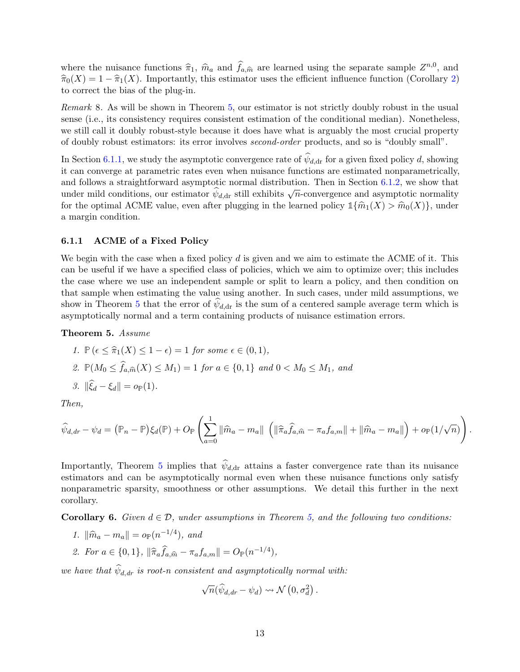where the nuisance functions  $\hat{\pi}_1$ ,  $\hat{m}_a$  and  $\hat{f}_{a,\hat{m}}$  are learned using the separate sample  $Z^{n,0}$ , and  $\hat{\pi}(X) = 1 - \hat{\pi}(X)$ . Importantly, this estimator uses the efficient influence function (Corollary 2)  $\widehat{\pi}_0(X) = 1 - \widehat{\pi}_1(X)$ . Importantly, this estimator uses the efficient influence function (Corollary [2\)](#page-10-0) to correct the bias of the plug-in.

Remark 8. As will be shown in Theorem [5,](#page-12-0) our estimator is not strictly doubly robust in the usual sense (i.e., its consistency requires consistent estimation of the conditional median). Nonetheless, we still call it doubly robust-style because it does have what is arguably the most crucial property of doubly robust estimators: its error involves second-order products, and so is "doubly small".

In Section [6.1.1,](#page-12-1) we study the asymptotic convergence rate of  $\psi_{d,dr}$  for a given fixed policy d, showing it can converge at parametric rates even when nuisance functions are estimated nonparametrically, and follows a straightforward asymptotic normal distribution. Then in Section [6.1.2,](#page-13-0) we show that and ionows a straightforward asymptotic normal distribution. Then in section 0.1.2, we show that<br>under mild conditions, our estimator  $\hat{\psi}_{d,dr}$  still exhibits  $\sqrt{n}$ -convergence and asymptotic normality for the optimal ACME value, even after plugging in the learned policy  $\mathbb{1}\{\hat{m}_1(X) > \hat{m}_0(X)\}\)$ , under a margin condition.

### <span id="page-12-1"></span>6.1.1 ACME of a Fixed Policy

We begin with the case when a fixed policy  $d$  is given and we aim to estimate the ACME of it. This can be useful if we have a specified class of policies, which we aim to optimize over; this includes the case where we use an independent sample or split to learn a policy, and then condition on that sample when estimating the value using another. In such cases, under mild assumptions, we show in Theorem [5](#page-12-0) that the error of  $\psi_{d,dr}$  is the sum of a centered sample average term which is asymptotically normal and a term containing products of nuisance estimation errors.

#### Theorem 5. Assume

\n- 1. 
$$
\mathbb{P}\left(\epsilon \leq \hat{\pi}_1(X) \leq 1 - \epsilon\right) = 1
$$
 for some  $\epsilon \in (0, 1)$ ,
\n- 2.  $\mathbb{P}(M_0 \leq \hat{f}_{a,\hat{m}}(X) \leq M_1) = 1$  for  $a \in \{0, 1\}$  and  $0 < M_0 \leq M_1$ , and
\n- 3.  $\|\hat{\xi}_d - \xi_d\| = o_{\mathbb{P}}(1)$ .
\n

<span id="page-12-0"></span>Then,

$$
\widehat{\psi}_{d,dr} - \psi_d = (\mathbb{P}_n - \mathbb{P})\xi_d(\mathbb{P}) + O_{\mathbb{P}}\left(\sum_{a=0}^1 \|\widehat{m}_a - m_a\| \left(\|\widehat{\pi}_a\widehat{f}_{a,\widehat{m}} - \pi_a f_{a,m}\| + \|\widehat{m}_a - m_a\|\right) + o_{\mathbb{P}}(1/\sqrt{n})\right).
$$

Importantly, Theorem [5](#page-12-0) implies that  $\psi_{d,dr}$  attains a faster convergence rate than its nuisance estimators and can be asymptotically normal even when these nuisance functions only satisfy nonparametric sparsity, smoothness or other assumptions. We detail this further in the next corollary.

**Corollary 6.** Given  $d \in \mathcal{D}$ , under assumptions in Theorem [5,](#page-12-0) and the following two conditions:

- 1.  $\|\hat{m}_a m_a\| = o_P(n^{-1/4})$ , and
- <span id="page-12-2"></span>2. For  $a \in \{0, 1\}$ ,  $\|\hat{\pi}_a \hat{f}_{a, \hat{m}} - \pi_a f_{a, m}\| = O_{\mathbb{P}}(n^{-1/4}),$

we have that  $\psi_{d,dr}$  is root-n consistent and asymptotically normal with:

$$
\sqrt{n}(\widehat{\psi}_{d,dr}-\psi_d)\rightsquigarrow \mathcal{N}\left(0,\sigma_d^2\right).
$$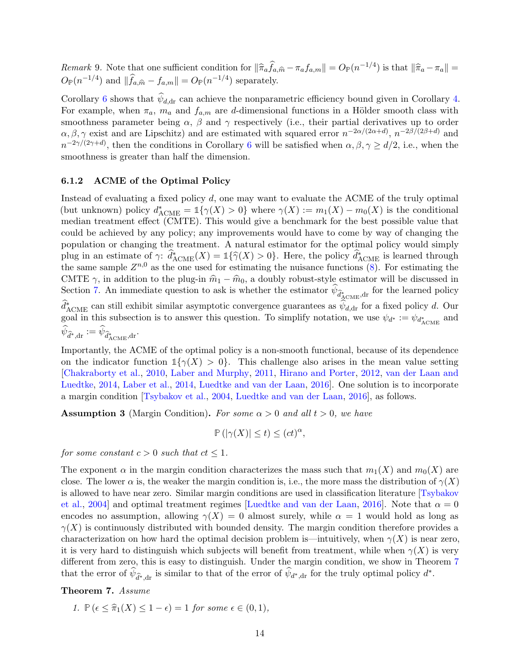Remark 9. Note that one sufficient condition for  $\|\hat{\pi}_a \hat{f}_{a,\hat{m}} - \pi_a f_{a,m}\| = O_P(n^{-1/4})$  is that  $\|\hat{\pi}_a - \pi_a\| = O_P(n^{-1/4})$  $O_{\mathbb{P}}(n^{-1/4})$  and  $\|\widehat{f}_{a,\widehat{m}} - f_{a,m}\| = O_{\mathbb{P}}(n^{-1/4})$  separately.

Corollary [6](#page-12-2) shows that  $\psi_{d,dr}$  can achieve the nonparametric efficiency bound given in Corollary [4.](#page-11-2) For example, when  $\pi_a$ ,  $m_a$  and  $f_{a,m}$  are d-dimensional functions in a Hölder smooth class with smoothness parameter being  $\alpha$ ,  $\beta$  and  $\gamma$  respectively (i.e., their partial derivatives up to order  $\alpha, \beta, \gamma$  exist and are Lipschitz) and are estimated with squared error  $n^{-2\alpha/(2\alpha+d)}$ ,  $n^{-2\beta/(2\beta+d)}$  and  $n^{-2\gamma/(2\gamma+d)}$ , then the conditions in Corollary [6](#page-12-2) will be satisfied when  $\alpha, \beta, \gamma \ge d/2$ , i.e., when the smoothness is greater than half the dimension.

#### <span id="page-13-0"></span>6.1.2 ACME of the Optimal Policy

Instead of evaluating a fixed policy d, one may want to evaluate the ACME of the truly optimal (but unknown) policy  $d^*_{ACME} = \mathbb{1}\{\gamma(X) > 0\}$  where  $\gamma(X) := m_1(X) - m_0(X)$  is the conditional median treatment effect (CMTE). This would give a benchmark for the best possible value that could be achieved by any policy; any improvements would have to come by way of changing the population or changing the treatment. A natural estimator for the optimal policy would simply plug in an estimate of  $\gamma: \hat{d}_{\text{ACME}}^*(X) = \mathbb{1}\{\hat{\gamma}(X) > 0\}$ . Here, the policy  $\hat{d}_{\text{ACME}}^*(\hat{\mathbf{s}})$  is learned through the same sample  $Z^{n,0}$  as the one used for estimating the nuisance functions  $(8)$ . For estimating the CMTE  $\gamma$ , in addition to the plug-in  $\hat{m}_1 - \hat{m}_0$ , a doubly robust-style estimator will be discussed in Section [7.](#page-15-0) An immediate question to ask is whether the estimator  $\psi_{\hat{d}_{\text{ACME}}^*},$  for the learned policy  $\hat{d}_{\text{ACME}}^*$  can still exhibit similar asymptotic convergence guarantees as  $\hat{\psi}_{d,\text{dr}}$  for a fixed policy d. Our goal in this subsection is to answer this question. To simplify notation, we use  $\psi_{d^*} := \psi_{d^*_{\text{ACME}}}$  and  $\psi_{\widehat{d}^*,\text{dr}} := \psi_{\widehat{d}^*_{\text{ACME}},\text{dr}}.$ 

Importantly, the ACME of the optimal policy is a non-smooth functional, because of its dependence on the indicator function  $1\{\gamma(X) > 0\}$ . This challenge also arises in the mean value setting [\[Chakraborty et al.,](#page-21-10) [2010,](#page-21-10) [Laber and Murphy,](#page-22-9) [2011,](#page-22-9) [Hirano and Porter,](#page-22-10) [2012,](#page-22-10) [van der Laan and](#page-23-3) [Luedtke,](#page-23-3) [2014,](#page-23-3) [Laber et al.,](#page-22-0) [2014,](#page-22-0) [Luedtke and van der Laan,](#page-22-11) [2016\]](#page-22-11). One solution is to incorporate a margin condition [\[Tsybakov et al.,](#page-23-13) [2004,](#page-23-13) [Luedtke and van der Laan,](#page-22-11) [2016\]](#page-22-11), as follows.

<span id="page-13-2"></span>**Assumption 3** (Margin Condition). For some  $\alpha > 0$  and all  $t > 0$ , we have

$$
\mathbb{P}\left(|\gamma(X)| \le t\right) \le (ct)^{\alpha},
$$

for some constant  $c > 0$  such that  $ct \leq 1$ .

The exponent  $\alpha$  in the margin condition characterizes the mass such that  $m_1(X)$  and  $m_0(X)$  are close. The lower  $\alpha$  is, the weaker the margin condition is, i.e., the more mass the distribution of  $\gamma(X)$ is allowed to have near zero. Similar margin conditions are used in classification literature [\[Tsybakov](#page-23-13) [et al.,](#page-23-13) [2004\]](#page-23-13) and optimal treatment regimes [\[Luedtke and van der Laan,](#page-22-11) [2016\]](#page-22-11). Note that  $\alpha = 0$ encodes no assumption, allowing  $\gamma(X) = 0$  almost surely, while  $\alpha = 1$  would hold as long as  $\gamma(X)$  is continuously distributed with bounded density. The margin condition therefore provides a characterization on how hard the optimal decision problem is—intuitively, when  $\gamma(X)$  is near zero, it is very hard to distinguish which subjects will benefit from treatment, while when  $\gamma(X)$  is very different from zero, this is easy to distinguish. Under the margin condition, we show in Theorem [7](#page-13-1) that the error of  $\widehat{\psi}_{d^*,dr}$  is similar to that of the error of  $\widehat{\psi}_{d^*,dr}$  for the truly optimal policy  $d^*$ .

<span id="page-13-1"></span>Theorem 7. Assume

1. 
$$
\mathbb{P}\left(\epsilon \leq \widehat{\pi}_1(X) \leq 1 - \epsilon\right) = 1 \text{ for some } \epsilon \in (0, 1),
$$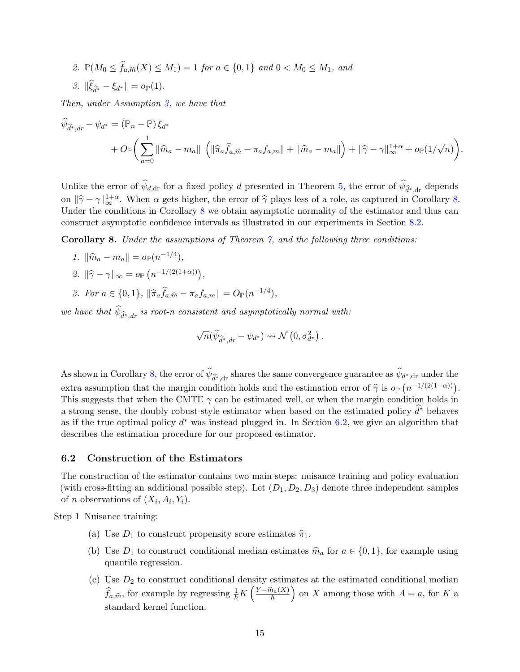2. 
$$
\mathbb{P}(M_0 \le \hat{f}_{a,\hat{m}}(X) \le M_1) = 1
$$
 for  $a \in \{0,1\}$  and  $0 < M_0 \le M_1$ , and  
3.  $\|\hat{\xi}_{\hat{d}^*} - \xi_{d^*}\| = o_{\mathbb{P}}(1)$ .

Then, under Assumption [3,](#page-13-2) we have that

$$
\hat{\psi}_{\hat{d}^*,dr} - \psi_{d^*} = (\mathbb{P}_n - \mathbb{P})\xi_{d^*}
$$
\n
$$
+ O_{\mathbb{P}}\bigg(\sum_{a=0}^1 \|\hat{m}_a - m_a\| \left(\|\hat{\pi}_a\hat{f}_{a,\hat{m}} - \pi_a f_{a,m}\| + \|\hat{m}_a - m_a\|\right) + \|\hat{\gamma} - \gamma\|_{\infty}^{1+\alpha} + o_{\mathbb{P}}(1/\sqrt{n})\bigg).
$$

Unlike the error of  $\psi_{d,\text{dr}}$  for a fixed policy d presented in Theorem [5,](#page-12-0) the error of  $\psi_{\hat{d}^*,d^*}$  depends on  $\|\hat{\gamma} - \gamma\|_{\infty}^{1+\alpha}$ . When  $\alpha$  gets higher, the error of  $\hat{\gamma}$  plays less of a role, as captured in Corollary [8.](#page-14-1) Under the conditions in Corollary [8](#page-14-1) we obtain asymptotic normality of the estimator and thus can construct asymptotic confidence intervals as illustrated in our experiments in Section [8.2.](#page-18-1)

Corollary 8. Under the assumptions of Theorem [7,](#page-13-1) and the following three conditions:

- 1.  $\|\widehat{m}_a m_a\| = o_P(n^{-1/4}),$
- 2.  $\|\hat{\gamma} \gamma\|_{\infty} = o_{\mathbb{P}}(n^{-1/(2(1+\alpha))}),$
- <span id="page-14-1"></span>3. For  $a \in \{0, 1\}$ ,  $\|\hat{\pi}_a \hat{f}_{a, \hat{m}} - \pi_a f_{a, m}\| = O_P(n^{-1/4}),$

we have that  $\psi_{\widehat{d}^*,dr}$  is root-n consistent and asymptotically normal with:

$$
\sqrt{n}(\widehat{\psi}_{\widehat{d}^*,dr}-\psi_{d^*})\leadsto\mathcal{N}\left(0,\sigma_{d^*}^2\right).
$$

As shown in Corollary [8,](#page-14-1) the error of  $\psi_{\hat{d}^*,dr}$  shares the same convergence guarantee as  $\psi_{d^*,dr}$  under the extra assumption that the margin condition holds and the estimation error of  $\hat{\gamma}$  is  $o_{\mathbb{P}}(n^{-1/(2(1+\alpha))})$ .<br>This suggests that when the CMTE  $\hat{\gamma}$  can be estimated well, or when the margin condition holds in This suggests that when the CMTE  $\gamma$  can be estimated well, or when the margin condition holds in a strong sense, the doubly robust-style estimator when based on the estimated policy  $d^*$  behaves as if the true optimal policy  $d^*$  was instead plugged in. In Section [6.2,](#page-14-0) we give an algorithm that describes the estimation procedure for our proposed estimator.

### <span id="page-14-0"></span>6.2 Construction of the Estimators

The construction of the estimator contains two main steps: nuisance training and policy evaluation (with cross-fitting an additional possible step). Let  $(D_1, D_2, D_3)$  denote three independent samples of *n* observations of  $(X_i, A_i, Y_i)$ .

Step 1 Nuisance training:

- (a) Use  $D_1$  to construct propensity score estimates  $\hat{\pi}_1$ .
- (b) Use  $D_1$  to construct conditional median estimates  $\hat{m}_a$  for  $a \in \{0, 1\}$ , for example using quantile regression.
- (c) Use  $D_2$  to construct conditional density estimates at the estimated conditional median  $\widehat{f}_{a,\widehat{m}}$ , for example by regressing  $\frac{1}{h}K\left(\frac{Y-\widehat{m}_a(X)}{h}\right)$  on X among those with  $A = a$ , for K a standard kernel function.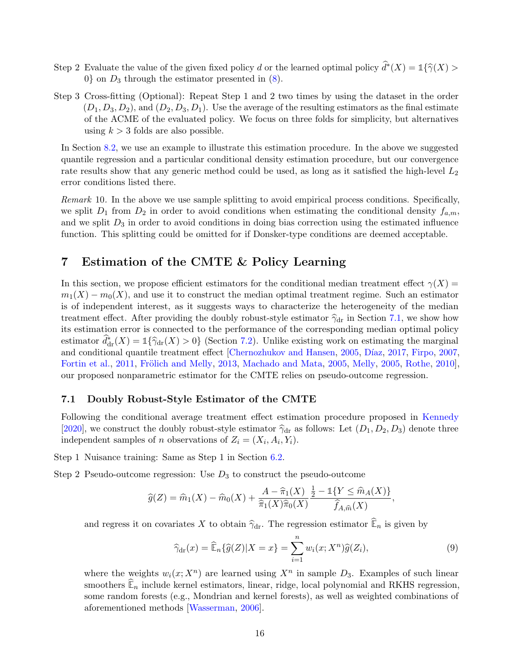- Step 2 Evaluate the value of the given fixed policy d or the learned optimal policy  $\hat{d}^*(X) = \mathbb{1}\{\hat{\gamma}(X) > 0\}$  or  $D$  through the estimator presented in  $(s)$ 0} on  $D_3$  through the estimator presented in  $(8)$ .
- Step 3 Cross-fitting (Optional): Repeat Step 1 and 2 two times by using the dataset in the order  $(D_1, D_3, D_2)$ , and  $(D_2, D_3, D_1)$ . Use the average of the resulting estimators as the final estimate of the ACME of the evaluated policy. We focus on three folds for simplicity, but alternatives using  $k > 3$  folds are also possible.

In Section [8.2,](#page-18-1) we use an example to illustrate this estimation procedure. In the above we suggested quantile regression and a particular conditional density estimation procedure, but our convergence rate results show that any generic method could be used, as long as it satisfied the high-level  $L_2$ error conditions listed there.

Remark 10. In the above we use sample splitting to avoid empirical process conditions. Specifically, we split  $D_1$  from  $D_2$  in order to avoid conditions when estimating the conditional density  $f_{a,m}$ , and we split  $D_3$  in order to avoid conditions in doing bias correction using the estimated influence function. This splitting could be omitted for if Donsker-type conditions are deemed acceptable.

# <span id="page-15-0"></span>7 Estimation of the CMTE & Policy Learning

In this section, we propose efficient estimators for the conditional median treatment effect  $\gamma(X)$  =  $m_1(X) - m_0(X)$ , and use it to construct the median optimal treatment regime. Such an estimator is of independent interest, as it suggests ways to characterize the heterogeneity of the median treatment effect. After providing the doubly robust-style estimator  $\hat{\gamma}_{dr}$  in Section [7.1,](#page-15-1) we show how its estimation error is connected to the performance of the corresponding median optimal policy estimator  $\hat{d}_{\text{dr}}^{*}(X) = 1\{\hat{\gamma}_{\text{dr}}(X) > 0\}$  (Section [7.2\)](#page-17-0). Unlike existing work on estimating the marginal and conditional quantile treatment effect [\[Chernozhukov and Hansen,](#page-21-11) [2005,](#page-21-11) Díaz, [2017,](#page-21-7) [Firpo,](#page-21-12) [2007,](#page-21-12) [Fortin et al.,](#page-21-13) [2011,](#page-21-13) Frölich and Melly, [2013,](#page-21-14) [Machado and Mata,](#page-22-12) [2005,](#page-22-13) [Melly,](#page-22-13) 2005, [Rothe,](#page-23-14) [2010\]](#page-23-14), our proposed nonparametric estimator for the CMTE relies on pseudo-outcome regression.

### <span id="page-15-1"></span>7.1 Doubly Robust-Style Estimator of the CMTE

Following the conditional average treatment effect estimation procedure proposed in [Kennedy](#page-22-14) [\[2020\]](#page-22-14), we construct the doubly robust-style estimator  $\hat{\gamma}_{dr}$  as follows: Let  $(D_1, D_2, D_3)$  denote three independent samples of *n* observations of  $Z_i = (X_i, A_i, Y_i)$ .

Step 1 Nuisance training: Same as Step 1 in Section [6.2.](#page-14-0)

Step 2 Pseudo-outcome regression: Use  $D_3$  to construct the pseudo-outcome

$$
\widehat{g}(Z) = \widehat{m}_1(X) - \widehat{m}_0(X) + \frac{A - \widehat{\pi}_1(X)}{\widehat{\pi}_1(X)\widehat{\pi}_0(X)} \frac{\frac{1}{2} - \mathbb{1}\{Y \leq \widehat{m}_A(X)\}}{\widehat{f}_{A,\widehat{m}}(X)},
$$

and regress it on covariates X to obtain  $\hat{\gamma}_{dr}$ . The regression estimator  $\hat{\mathbb{E}}_n$  is given by

<span id="page-15-2"></span>
$$
\widehat{\gamma}_{\mathrm{dr}}(x) = \widehat{\mathbb{E}}_n\{\widehat{g}(Z)|X=x\} = \sum_{i=1}^n w_i(x;X^n)\widehat{g}(Z_i),\tag{9}
$$

where the weights  $w_i(x; X^n)$  are learned using  $X^n$  in sample  $D_3$ . Examples of such linear smoothers  $\mathbb{E}_n$  include kernel estimators, linear, ridge, local polynomial and RKHS regression, some random forests (e.g., Mondrian and kernel forests), as well as weighted combinations of aforementioned methods [\[Wasserman,](#page-24-4) [2006\]](#page-24-4).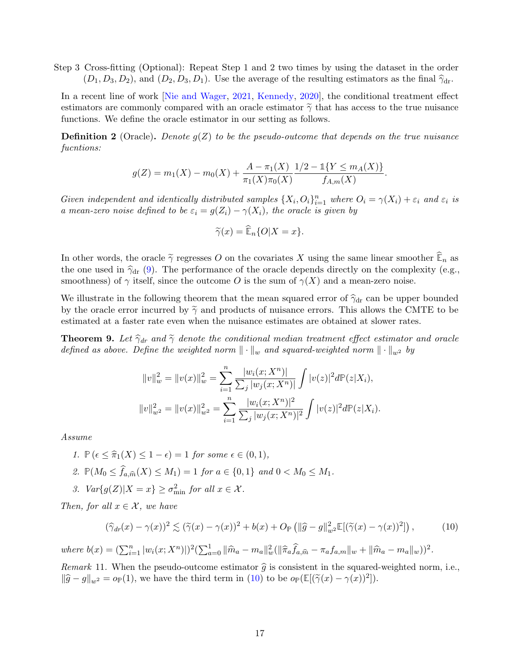Step 3 Cross-fitting (Optional): Repeat Step 1 and 2 two times by using the dataset in the order  $(D_1, D_3, D_2)$ , and  $(D_2, D_3, D_1)$ . Use the average of the resulting estimators as the final  $\hat{\gamma}_{dr}$ .

In a recent line of work [\[Nie and Wager,](#page-23-15) [2021,](#page-23-15) [Kennedy,](#page-22-14) [2020\]](#page-22-14), the conditional treatment effect estimators are commonly compared with an oracle estimator  $\tilde{\gamma}$  that has access to the true nuisance functions. We define the oracle estimator in our setting as follows.

**Definition 2** (Oracle). Denote  $g(Z)$  to be the pseudo-outcome that depends on the true nuisance fucntions:

$$
g(Z) = m_1(X) - m_0(X) + \frac{A - \pi_1(X)}{\pi_1(X)\pi_0(X)} \frac{1/2 - 1\{Y \le m_A(X)\}}{f_{A,m}(X)}.
$$

Given independent and identically distributed samples  $\{X_i, O_i\}_{i=1}^n$  where  $O_i = \gamma(X_i) + \varepsilon_i$  and  $\varepsilon_i$  is a mean-zero noise defined to be  $\varepsilon_i = g(Z_i) - \gamma(X_i)$ , the oracle is given by

$$
\widetilde{\gamma}(x) = \widetilde{\mathbb{E}}_n\{O|X=x\}.
$$

In other words, the oracle  $\tilde{\gamma}$  regresses O on the covariates X using the same linear smoother  $\widehat{\mathbb{E}}_n$  as the one used in  $\hat{\gamma}_{dr}$  [\(9\)](#page-15-2). The performance of the oracle depends directly on the complexity (e.g., smoothness) of  $\gamma$  itself, since the outcome O is the sum of  $\gamma(X)$  and a mean-zero noise.

We illustrate in the following theorem that the mean squared error of  $\hat{\gamma}_{dr}$  can be upper bounded by the oracle error incurred by  $\tilde{\gamma}$  and products of nuisance errors. This allows the CMTE to be estimated at a faster rate even when the nuisance estimates are obtained at slower rates.

<span id="page-16-1"></span>**Theorem 9.** Let  $\hat{\gamma}_{dr}$  and  $\tilde{\gamma}$  denote the conditional median treatment effect estimator and oracle defined as above. Define the weighted norm  $\|\cdot\|_w$  and squared-weighted norm  $\|\cdot\|_{w^2}$  by

$$
||v||_w^2 = ||v(x)||_w^2 = \sum_{i=1}^n \frac{|w_i(x; X^n)|}{\sum_j |w_j(x; X^n)|} \int |v(z)|^2 d\mathbb{P}(z|X_i),
$$
  

$$
||v||_{w^2}^2 = ||v(x)||_{w^2}^2 = \sum_{i=1}^n \frac{|w_i(x; X^n)|^2}{\sum_j |w_j(x; X^n)|^2} \int |v(z)|^2 d\mathbb{P}(z|X_i).
$$

Assume

- 1.  $\mathbb{P}(\epsilon \leq \hat{\pi}_1(X) \leq 1 \epsilon) = 1$  for some  $\epsilon \in (0, 1)$ , 2.  $\mathbb{P}(M_0 \le f_{a,\widehat{m}}(X) \le M_1) = 1$  for  $a \in \{0,1\}$  and  $0 < M_0 \le M_1$ .
- 3.  $Var\{g(Z)|X=x\} \geq \sigma_{\min}^2$  for all  $x \in \mathcal{X}$ .

Then, for all  $x \in \mathcal{X}$ , we have

<span id="page-16-0"></span>
$$
(\widehat{\gamma}_{dr}(x) - \gamma(x))^2 \lesssim (\widetilde{\gamma}(x) - \gamma(x))^2 + b(x) + O_{\mathbb{P}}\left(\|\widehat{g} - g\|_{w^2}^2 \mathbb{E}[(\widetilde{\gamma}(x) - \gamma(x))^2]\right),\tag{10}
$$

where  $b(x) = (\sum_{i=1}^{n} |w_i(x; X^n)|)^2 (\sum_{a=0}^{1} ||\hat{m}_a - m_a||_w^2 (||\hat{\pi}_a \hat{f}_{a,\hat{m}} - \pi_a f_{a,m}||_w + ||\hat{m}_a - m_a||_w))^2$ .

Remark 11. When the pseudo-outcome estimator  $\hat{g}$  is consistent in the squared-weighted norm, i.e.,  $\|\widehat{g} - g\|_{w^2} = o_P(1)$ , we have the third term in [\(10\)](#page-16-0) to be  $o_P(\mathbb{E}[(\widetilde{\gamma}(x) - \gamma(x))^2])$ .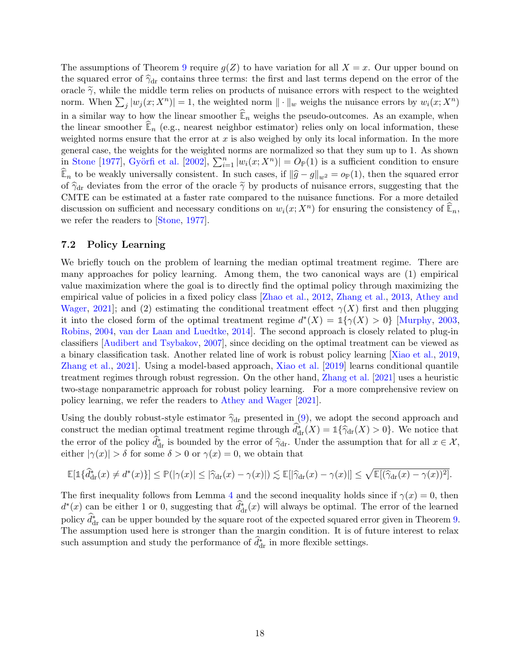The assumptions of Theorem [9](#page-16-1) require  $g(Z)$  to have variation for all  $X = x$ . Our upper bound on the squared error of  $\hat{\gamma}_{dr}$  contains three terms: the first and last terms depend on the error of the oracle  $\tilde{\gamma}$ , while the middle term relies on products of nuisance errors with respect to the weighted norm. When  $\sum_j |w_j(x; X^n)| = 1$ , the weighted norm  $\|\cdot\|_w$  weighs the nuisance errors by  $w_i(x; X^n)$ in a similar way to how the linear smoother  $\widehat{\mathbb{E}}_n$  weighs the pseudo-outcomes. As an example, when the linear smoother  $\mathbb{E}_n$  (e.g., nearest neighbor estimator) relies only on local information, these weighted norms ensure that the error at  $x$  is also weighed by only its local information. In the more general case, the weights for the weighted norms are normalized so that they sum up to 1. As shown in [Stone](#page-23-16) [\[1977\]](#page-23-16), Györfi et al. [\[2002\]](#page-21-15),  $\sum_{i=1}^{n} |w_i(x; X^n)| = O_P(1)$  is a sufficient condition to ensure  $\widehat{\mathbb{E}}_n$  to be weakly universally consistent. In such cases, if  $\|\widehat{g} - g\|_{w^2} = o_P(1)$ , then the squared error of  $\hat{\gamma}_{dr}$  deviates from the error of the oracle  $\tilde{\gamma}$  by products of nuisance errors, suggesting that the CMTE can be estimated at a faster rate compared to the nuisance functions. For a more detailed discussion on sufficient and necessary conditions on  $w_i(x; X^n)$  for ensuring the consistency of  $\widehat{\mathbb{E}}_n$ , we refer the readers to [\[Stone,](#page-23-16) [1977\]](#page-23-16).

### <span id="page-17-0"></span>7.2 Policy Learning

We briefly touch on the problem of learning the median optimal treatment regime. There are many approaches for policy learning. Among them, the two canonical ways are (1) empirical value maximization where the goal is to directly find the optimal policy through maximizing the empirical value of policies in a fixed policy class [\[Zhao et al.,](#page-24-5) [2012,](#page-24-5) [Zhang et al.,](#page-24-6) [2013,](#page-24-6) [Athey and](#page-20-0) [Wager,](#page-20-0) [2021\]](#page-20-0); and (2) estimating the conditional treatment effect  $\gamma(X)$  first and then plugging it into the closed form of the optimal treatment regime  $d^*(X) = \mathbb{1}\{\gamma(X) > 0\}$  [\[Murphy,](#page-23-0) [2003,](#page-23-0) [Robins,](#page-23-1) [2004,](#page-23-1) [van der Laan and Luedtke,](#page-23-3) [2014\]](#page-23-3). The second approach is closely related to plug-in classifiers [\[Audibert and Tsybakov,](#page-21-16) [2007\]](#page-21-16), since deciding on the optimal treatment can be viewed as a binary classification task. Another related line of work is robust policy learning [\[Xiao et al.,](#page-24-7) [2019,](#page-24-7) [Zhang et al.,](#page-24-8) [2021\]](#page-24-8). Using a model-based approach, [Xiao et al.](#page-24-7) [\[2019\]](#page-24-7) learns conditional quantile treatment regimes through robust regression. On the other hand, [Zhang et al.](#page-24-8) [\[2021\]](#page-24-8) uses a heuristic two-stage nonparametric approach for robust policy learning. For a more comprehensive review on policy learning, we refer the readers to [Athey and Wager](#page-20-0) [\[2021\]](#page-20-0).

Using the doubly robust-style estimator  $\hat{\gamma}_{dr}$  presented in [\(9\)](#page-15-2), we adopt the second approach and construct the median optimal treatment regime through  $\hat{d}_{\text{dr}}^*(X) = 1 \{\hat{\gamma}_{\text{dr}}(X) > 0\}$ . We notice that the error of the policy  $\hat{d}_{dr}^*$  is bounded by the error of  $\hat{\gamma}_{dr}$ . Under the assumption that for all  $x \in \mathcal{X}$ , either  $|\gamma(x)| > \delta$  for some  $\delta > 0$  or  $\gamma(x) = 0$ , we obtain that either  $|\gamma(x)| > \delta$  for some  $\delta > 0$  or  $\gamma(x) = 0$ , we obtain that

$$
\mathbb{E}[\mathbb{1}\{\widehat{d}^*_{\mathrm{dr}}(x) \neq d^*(x)\}] \leq \mathbb{P}(|\gamma(x)| \leq |\widehat{\gamma}_{\mathrm{dr}}(x) - \gamma(x)|) \lesssim \mathbb{E}[|\widehat{\gamma}_{\mathrm{dr}}(x) - \gamma(x)|] \leq \sqrt{\mathbb{E}[(\widehat{\gamma}_{\mathrm{dr}}(x) - \gamma(x))^2]}.
$$

The first inequality follows from Lemma [4](#page-34-0) and the second inequality holds since if  $\gamma(x) = 0$ , then  $d^*(x)$  can be either 1 or 0, suggesting that  $\hat{d}^*_{dr}(x)$  will always be optimal. The error of the learned policy  $\hat{d}_{\text{dr}}^*$  can be upper bounded by the square root of the expected squared error given in Theorem [9.](#page-16-1) The assumption used here is stronger than the margin condition. It is of future interest to relax such assumption and study the performance of  $\hat{d}^*_{\text{dr}}$  in more flexible settings.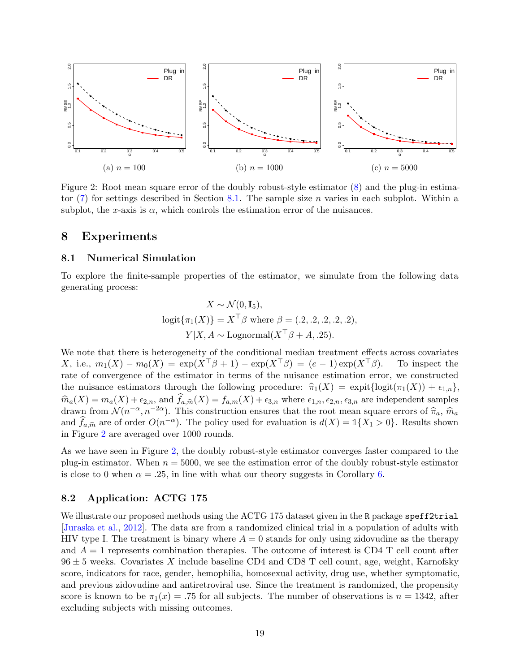<span id="page-18-3"></span>

Figure 2: Root mean square error of the doubly robust-style estimator [\(8\)](#page-11-1) and the plug-in estimator  $(7)$  for settings described in Section [8.1.](#page-18-2) The sample size *n* varies in each subplot. Within a subplot, the x-axis is  $\alpha$ , which controls the estimation error of the nuisances.

### <span id="page-18-0"></span>8 Experiments

### <span id="page-18-2"></span>8.1 Numerical Simulation

To explore the finite-sample properties of the estimator, we simulate from the following data generating process:

$$
X \sim \mathcal{N}(0, \mathbf{I}_5),
$$
  
logit $\{\pi_1(X)\} = X^\top \beta$  where  $\beta = (.2, .2, .2, .2, .2),$   

$$
Y|X, A \sim \text{Lognormal}(X^\top \beta + A, .25).
$$

We note that there is heterogeneity of the conditional median treatment effects across covariates X, i.e.,  $m_1(X) - m_0(X) = \exp(X^\top \beta + 1) - \exp(X^\top \beta) = (e - 1) \exp(X^\top \beta)$ . To inspect the rate of convergence of the estimator in terms of the nuisance estimation error, we constructed the nuisance estimators through the following procedure:  $\hat{\pi}_1(X) = \text{expit}\{\text{logit}(\pi_1(X)) + \epsilon_{1,n}\},\$  $\hat{m}_a(X) = m_a(X) + \epsilon_{2,n}$ , and  $f_{a,\hat{m}}(X) = f_{a,m}(X) + \epsilon_{3,n}$  where  $\epsilon_{1,n}, \epsilon_{2,n}, \epsilon_{3,n}$  are independent samples drawn from  $\mathcal{N}(n^{-\alpha}, n^{-2\alpha})$ . This construction ensures that the root mean square errors of  $\hat{\pi}_a, \hat{m}_a$ and  $\hat{f}_{a,\hat{m}}$  are of order  $O(n^{-\alpha})$ . The policy used for evaluation is  $d(X) = \mathbb{1}\{X_1 > 0\}$ . Results shown in Figure [2](#page-18-3) are averaged over 1000 rounds.

As we have seen in Figure [2,](#page-18-3) the doubly robust-style estimator converges faster compared to the plug-in estimator. When  $n = 5000$ , we see the estimation error of the doubly robust-style estimator is close to 0 when  $\alpha = .25$ , in line with what our theory suggests in Corollary [6.](#page-12-2)

### <span id="page-18-1"></span>8.2 Application: ACTG 175

We illustrate our proposed methods using the ACTG 175 dataset given in the R package speff2trial [\[Juraska et al.,](#page-22-15) [2012\]](#page-22-15). The data are from a randomized clinical trial in a population of adults with HIV type I. The treatment is binary where  $A = 0$  stands for only using zidovudine as the therapy and  $A = 1$  represents combination therapies. The outcome of interest is CD4 T cell count after  $96 \pm 5$  weeks. Covariates X include baseline CD4 and CD8 T cell count, age, weight, Karnofsky score, indicators for race, gender, hemophilia, homosexual activity, drug use, whether symptomatic, and previous zidovudine and antiretroviral use. Since the treatment is randomized, the propensity score is known to be  $\pi_1(x) = .75$  for all subjects. The number of observations is  $n = 1342$ , after excluding subjects with missing outcomes.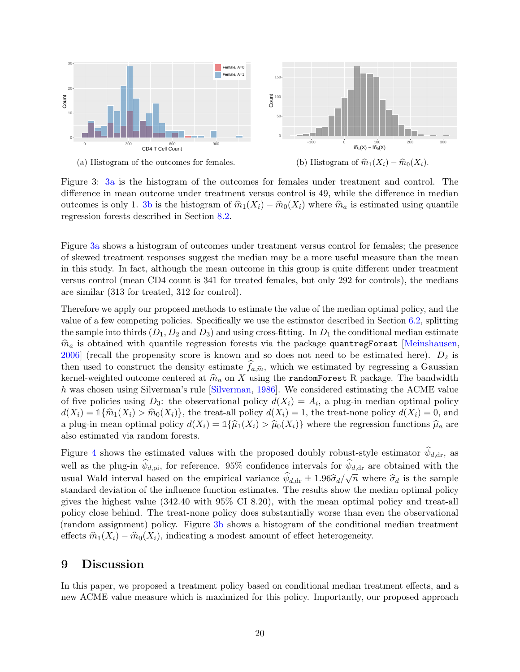<span id="page-19-0"></span>

Figure 3: [3a](#page-19-0) is the histogram of the outcomes for females under treatment and control. The difference in mean outcome under treatment versus control is 49, while the difference in median outcomes is only 1. [3b](#page-19-0) is the histogram of  $\hat{m}_1(X_i) - \hat{m}_0(X_i)$  where  $\hat{m}_a$  is estimated using quantile regression forests described in Section [8.2.](#page-18-1)

Figure [3a](#page-19-0) shows a histogram of outcomes under treatment versus control for females; the presence of skewed treatment responses suggest the median may be a more useful measure than the mean in this study. In fact, although the mean outcome in this group is quite different under treatment versus control (mean CD4 count is 341 for treated females, but only 292 for controls), the medians are similar (313 for treated, 312 for control).

Therefore we apply our proposed methods to estimate the value of the median optimal policy, and the value of a few competing policies. Specifically we use the estimator described in Section [6.2,](#page-14-0) splitting the sample into thirds  $(D_1, D_2 \text{ and } D_3)$  and using cross-fitting. In  $D_1$  the conditional median estimate  $\hat{m}_a$  is obtained with quantile regression forests via the package quantregForest [\[Meinshausen,](#page-22-16)  $2006$  (recall the propensity score is known and so does not need to be estimated here).  $D_2$  is then used to construct the density estimate  $f_{a,\hat{m}}$ , which we estimated by regressing a Gaussian beam of middle the straight of construction of  $\hat{a}$  and  $\hat{b}$  are  $\hat{b}$  and  $\hat{c}$  and  $\hat{c}$  are  $\hat{c}$  and  $\$ kernel-weighted outcome centered at  $\hat{m}_a$  on X using the randomForest R package. The bandwidth h was chosen using Silverman's rule [\[Silverman,](#page-23-17) [1986\]](#page-23-17). We considered estimating the ACME value of five policies using  $D_3$ : the observational policy  $d(X_i) = A_i$ , a plug-in median optimal policy  $d(X_i) = \mathbb{1}\{\hat{m}_1(X_i) > \hat{m}_0(X_i)\}\$ , the treat-all policy  $d(X_i) = 1$ , the treat-none policy  $d(X_i) = 0$ , and a plug-in mean optimal policy  $d(X_i) = \mathbb{1}\{\hat{\mu}_1(X_i) > \hat{\mu}_0(X_i)\}\$  where the regression functions  $\hat{\mu}_a$  are also estimated via random forests.

Figure [4](#page-20-1) shows the estimated values with the proposed doubly robust-style estimator  $\psi_{d,dr}$ , as well as the plug-in  $\psi_{d,pi}$ , for reference. 95% confidence intervals for  $\psi_{d,dr}$  are obtained with the usual Wald interval based on the empirical variance  $\psi_{d,dr} \pm 1.96\hat{\sigma}_d/\sqrt{n}$  where  $\hat{\sigma}_d$  is the sample<br>standard deviation of the influence function estimates. The results show the median ortimal policy standard deviation of the influence function estimates. The results show the median optimal policy gives the highest value (342.40 with 95% CI 8.20), with the mean optimal policy and treat-all policy close behind. The treat-none policy does substantially worse than even the observational (random assignment) policy. Figure [3b](#page-19-0) shows a histogram of the conditional median treatment effects  $\hat{m}_1(X_i) - \hat{m}_0(X_i)$ , indicating a modest amount of effect heterogeneity.

## 9 Discussion

In this paper, we proposed a treatment policy based on conditional median treatment effects, and a new ACME value measure which is maximized for this policy. Importantly, our proposed approach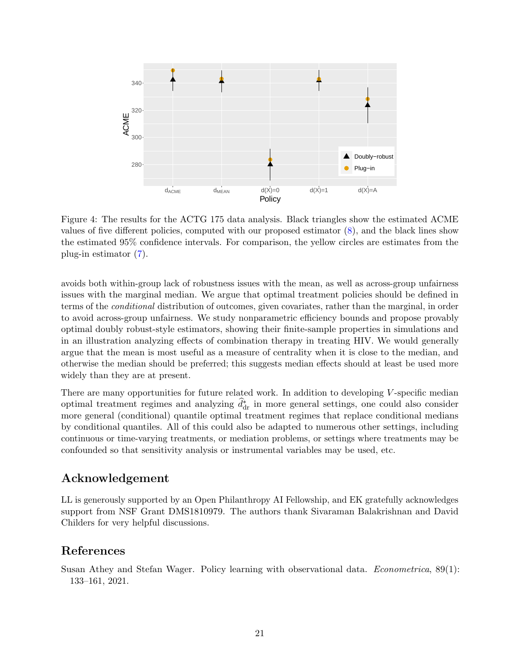<span id="page-20-1"></span>

Figure 4: The results for the ACTG 175 data analysis. Black triangles show the estimated ACME values of five different policies, computed with our proposed estimator [\(8\)](#page-11-1), and the black lines show the estimated 95% confidence intervals. For comparison, the yellow circles are estimates from the plug-in estimator [\(7\)](#page-11-4).

avoids both within-group lack of robustness issues with the mean, as well as across-group unfairness issues with the marginal median. We argue that optimal treatment policies should be defined in terms of the conditional distribution of outcomes, given covariates, rather than the marginal, in order to avoid across-group unfairness. We study nonparametric efficiency bounds and propose provably optimal doubly robust-style estimators, showing their finite-sample properties in simulations and in an illustration analyzing effects of combination therapy in treating HIV. We would generally argue that the mean is most useful as a measure of centrality when it is close to the median, and otherwise the median should be preferred; this suggests median effects should at least be used more widely than they are at present.

There are many opportunities for future related work. In addition to developing  $V$ -specific median optimal treatment regimes and analyzing  $\hat{d}_{dr}^*$  in more general settings, one could also consider more general (conditional) quantile optimal treatment regimes that replace conditional medians by conditional quantiles. All of this could also be adapted to numerous other settings, including continuous or time-varying treatments, or mediation problems, or settings where treatments may be confounded so that sensitivity analysis or instrumental variables may be used, etc.

# Acknowledgement

LL is generously supported by an Open Philanthropy AI Fellowship, and EK gratefully acknowledges support from NSF Grant DMS1810979. The authors thank Sivaraman Balakrishnan and David Childers for very helpful discussions.

# References

<span id="page-20-0"></span>Susan Athey and Stefan Wager. Policy learning with observational data. *Econometrica*, 89(1): 133–161, 2021.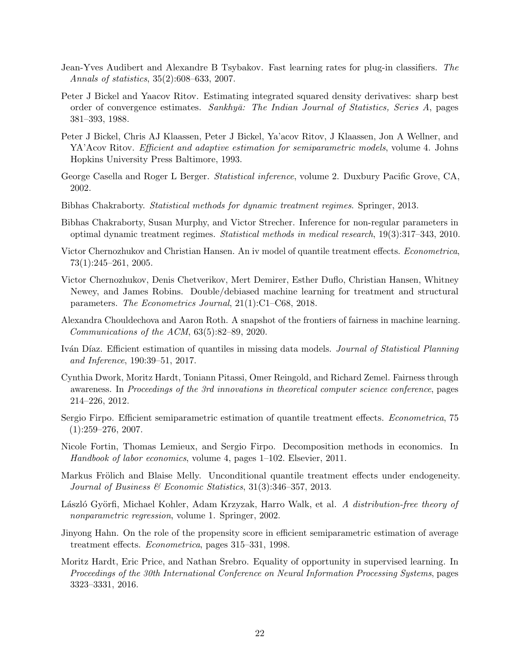- <span id="page-21-16"></span>Jean-Yves Audibert and Alexandre B Tsybakov. Fast learning rates for plug-in classifiers. The Annals of statistics, 35(2):608–633, 2007.
- <span id="page-21-9"></span>Peter J Bickel and Yaacov Ritov. Estimating integrated squared density derivatives: sharp best order of convergence estimates. Sankhyā: The Indian Journal of Statistics, Series A, pages 381–393, 1988.
- <span id="page-21-1"></span>Peter J Bickel, Chris AJ Klaassen, Peter J Bickel, Ya'acov Ritov, J Klaassen, Jon A Wellner, and YA'Acov Ritov. *Efficient and adaptive estimation for semiparametric models*, volume 4. Johns Hopkins University Press Baltimore, 1993.
- <span id="page-21-3"></span>George Casella and Roger L Berger. Statistical inference, volume 2. Duxbury Pacific Grove, CA, 2002.
- <span id="page-21-0"></span>Bibhas Chakraborty. Statistical methods for dynamic treatment regimes. Springer, 2013.
- <span id="page-21-10"></span>Bibhas Chakraborty, Susan Murphy, and Victor Strecher. Inference for non-regular parameters in optimal dynamic treatment regimes. Statistical methods in medical research, 19(3):317–343, 2010.
- <span id="page-21-11"></span>Victor Chernozhukov and Christian Hansen. An iv model of quantile treatment effects. Econometrica, 73(1):245–261, 2005.
- <span id="page-21-2"></span>Victor Chernozhukov, Denis Chetverikov, Mert Demirer, Esther Duflo, Christian Hansen, Whitney Newey, and James Robins. Double/debiased machine learning for treatment and structural parameters. The Econometrics Journal, 21(1):C1–C68, 2018.
- <span id="page-21-6"></span>Alexandra Chouldechova and Aaron Roth. A snapshot of the frontiers of fairness in machine learning. Communications of the ACM, 63(5):82–89, 2020.
- <span id="page-21-7"></span>Iván Díaz. Efficient estimation of quantiles in missing data models. Journal of Statistical Planning and Inference, 190:39–51, 2017.
- <span id="page-21-4"></span>Cynthia Dwork, Moritz Hardt, Toniann Pitassi, Omer Reingold, and Richard Zemel. Fairness through awareness. In Proceedings of the 3rd innovations in theoretical computer science conference, pages 214–226, 2012.
- <span id="page-21-12"></span>Sergio Firpo. Efficient semiparametric estimation of quantile treatment effects. *Econometrica*, 75  $(1):259-276, 2007.$
- <span id="page-21-13"></span>Nicole Fortin, Thomas Lemieux, and Sergio Firpo. Decomposition methods in economics. In Handbook of labor economics, volume 4, pages 1–102. Elsevier, 2011.
- <span id="page-21-14"></span>Markus Frölich and Blaise Melly. Unconditional quantile treatment effects under endogeneity. Journal of Business & Economic Statistics, 31(3):346–357, 2013.
- <span id="page-21-15"></span>László Györfi, Michael Kohler, Adam Krzyzak, Harro Walk, et al. A distribution-free theory of nonparametric regression, volume 1. Springer, 2002.
- <span id="page-21-8"></span>Jinyong Hahn. On the role of the propensity score in efficient semiparametric estimation of average treatment effects. Econometrica, pages 315–331, 1998.
- <span id="page-21-5"></span>Moritz Hardt, Eric Price, and Nathan Srebro. Equality of opportunity in supervised learning. In Proceedings of the 30th International Conference on Neural Information Processing Systems, pages 3323–3331, 2016.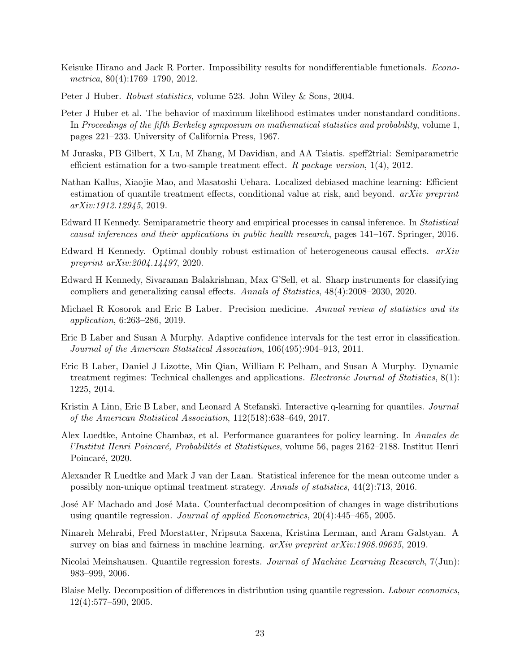- <span id="page-22-10"></span>Keisuke Hirano and Jack R Porter. Impossibility results for nondifferentiable functionals. *Econo*metrica, 80(4):1769–1790, 2012.
- <span id="page-22-4"></span>Peter J Huber. Robust statistics, volume 523. John Wiley & Sons, 2004.
- <span id="page-22-3"></span>Peter J Huber et al. The behavior of maximum likelihood estimates under nonstandard conditions. In Proceedings of the fifth Berkeley symposium on mathematical statistics and probability, volume 1, pages 221–233. University of California Press, 1967.
- <span id="page-22-15"></span>M Juraska, PB Gilbert, X Lu, M Zhang, M Davidian, and AA Tsiatis. speff2trial: Semiparametric efficient estimation for a two-sample treatment effect. R package version,  $1(4)$ ,  $2012$ .
- <span id="page-22-8"></span>Nathan Kallus, Xiaojie Mao, and Masatoshi Uehara. Localized debiased machine learning: Efficient estimation of quantile treatment effects, conditional value at risk, and beyond.  $arXiv$  preprint arXiv:1912.12945, 2019.
- <span id="page-22-2"></span>Edward H Kennedy. Semiparametric theory and empirical processes in causal inference. In Statistical causal inferences and their applications in public health research, pages 141–167. Springer, 2016.
- <span id="page-22-14"></span>Edward H Kennedy. Optimal doubly robust estimation of heterogeneous causal effects. arXiv preprint arXiv:2004.14497, 2020.
- <span id="page-22-17"></span>Edward H Kennedy, Sivaraman Balakrishnan, Max G'Sell, et al. Sharp instruments for classifying compliers and generalizing causal effects. Annals of Statistics, 48(4):2008–2030, 2020.
- <span id="page-22-1"></span>Michael R Kosorok and Eric B Laber. Precision medicine. Annual review of statistics and its application, 6:263–286, 2019.
- <span id="page-22-9"></span>Eric B Laber and Susan A Murphy. Adaptive confidence intervals for the test error in classification. Journal of the American Statistical Association, 106(495):904–913, 2011.
- <span id="page-22-0"></span>Eric B Laber, Daniel J Lizotte, Min Qian, William E Pelham, and Susan A Murphy. Dynamic treatment regimes: Technical challenges and applications. Electronic Journal of Statistics, 8(1): 1225, 2014.
- <span id="page-22-5"></span>Kristin A Linn, Eric B Laber, and Leonard A Stefanski. Interactive q-learning for quantiles. *Journal* of the American Statistical Association, 112(518):638–649, 2017.
- <span id="page-22-6"></span>Alex Luedtke, Antoine Chambaz, et al. Performance guarantees for policy learning. In Annales de l'Institut Henri Poincaré, Probabilités et Statistiques, volume 56, pages 2162–2188. Institut Henri Poincaré, 2020.
- <span id="page-22-11"></span>Alexander R Luedtke and Mark J van der Laan. Statistical inference for the mean outcome under a possibly non-unique optimal treatment strategy. Annals of statistics, 44(2):713, 2016.
- <span id="page-22-12"></span>José AF Machado and José Mata. Counterfactual decomposition of changes in wage distributions using quantile regression. Journal of applied Econometrics, 20(4):445–465, 2005.
- <span id="page-22-7"></span>Ninareh Mehrabi, Fred Morstatter, Nripsuta Saxena, Kristina Lerman, and Aram Galstyan. A survey on bias and fairness in machine learning. *arXiv preprint arXiv:1908.09635*, 2019.
- <span id="page-22-16"></span>Nicolai Meinshausen. Quantile regression forests. Journal of Machine Learning Research, 7(Jun): 983–999, 2006.
- <span id="page-22-13"></span>Blaise Melly. Decomposition of differences in distribution using quantile regression. Labour economics, 12(4):577–590, 2005.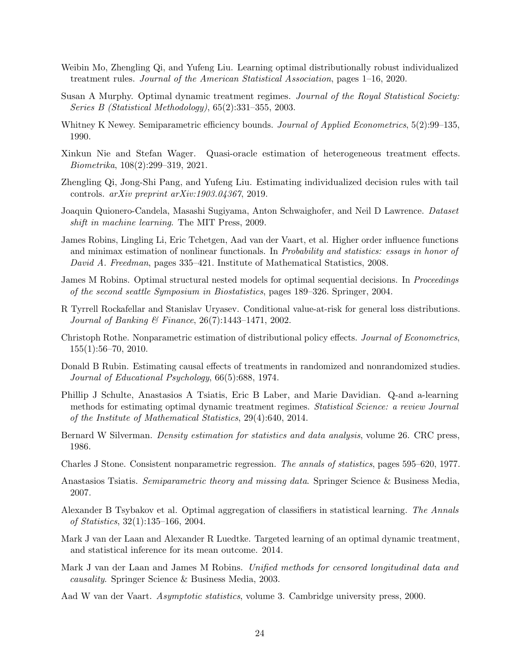- <span id="page-23-11"></span>Weibin Mo, Zhengling Qi, and Yufeng Liu. Learning optimal distributionally robust individualized treatment rules. Journal of the American Statistical Association, pages 1–16, 2020.
- <span id="page-23-0"></span>Susan A Murphy. Optimal dynamic treatment regimes. Journal of the Royal Statistical Society: Series B (Statistical Methodology), 65(2):331–355, 2003.
- <span id="page-23-4"></span>Whitney K Newey. Semiparametric efficiency bounds. Journal of Applied Econometrics, 5(2):99–135, 1990.
- <span id="page-23-15"></span>Xinkun Nie and Stefan Wager. Quasi-oracle estimation of heterogeneous treatment effects. Biometrika, 108(2):299–319, 2021.
- <span id="page-23-7"></span>Zhengling Qi, Jong-Shi Pang, and Yufeng Liu. Estimating individualized decision rules with tail controls. arXiv preprint arXiv:1903.04367, 2019.
- <span id="page-23-10"></span>Joaquin Quionero-Candela, Masashi Sugiyama, Anton Schwaighofer, and Neil D Lawrence. Dataset shift in machine learning. The MIT Press, 2009.
- <span id="page-23-12"></span>James Robins, Lingling Li, Eric Tchetgen, Aad van der Vaart, et al. Higher order influence functions and minimax estimation of nonlinear functionals. In Probability and statistics: essays in honor of David A. Freedman, pages 335–421. Institute of Mathematical Statistics, 2008.
- <span id="page-23-1"></span>James M Robins. Optimal structural nested models for optimal sequential decisions. In Proceedings of the second seattle Symposium in Biostatistics, pages 189–326. Springer, 2004.
- <span id="page-23-8"></span>R Tyrrell Rockafellar and Stanislav Uryasev. Conditional value-at-risk for general loss distributions. Journal of Banking & Finance, 26(7):1443–1471, 2002.
- <span id="page-23-14"></span>Christoph Rothe. Nonparametric estimation of distributional policy effects. Journal of Econometrics,  $155(1):56-70, 2010.$
- <span id="page-23-9"></span>Donald B Rubin. Estimating causal effects of treatments in randomized and nonrandomized studies. Journal of Educational Psychology, 66(5):688, 1974.
- <span id="page-23-2"></span>Phillip J Schulte, Anastasios A Tsiatis, Eric B Laber, and Marie Davidian. Q-and a-learning methods for estimating optimal dynamic treatment regimes. Statistical Science: a review Journal of the Institute of Mathematical Statistics, 29(4):640, 2014.
- <span id="page-23-17"></span>Bernard W Silverman. *Density estimation for statistics and data analysis*, volume 26. CRC press, 1986.
- <span id="page-23-16"></span>Charles J Stone. Consistent nonparametric regression. The annals of statistics, pages 595–620, 1977.
- <span id="page-23-6"></span>Anastasios Tsiatis. Semiparametric theory and missing data. Springer Science & Business Media, 2007.
- <span id="page-23-13"></span>Alexander B Tsybakov et al. Optimal aggregation of classifiers in statistical learning. The Annals of Statistics, 32(1):135–166, 2004.
- <span id="page-23-3"></span>Mark J van der Laan and Alexander R Luedtke. Targeted learning of an optimal dynamic treatment, and statistical inference for its mean outcome. 2014.
- <span id="page-23-5"></span>Mark J van der Laan and James M Robins. Unified methods for censored longitudinal data and causality. Springer Science & Business Media, 2003.
- <span id="page-23-18"></span>Aad W van der Vaart. Asymptotic statistics, volume 3. Cambridge university press, 2000.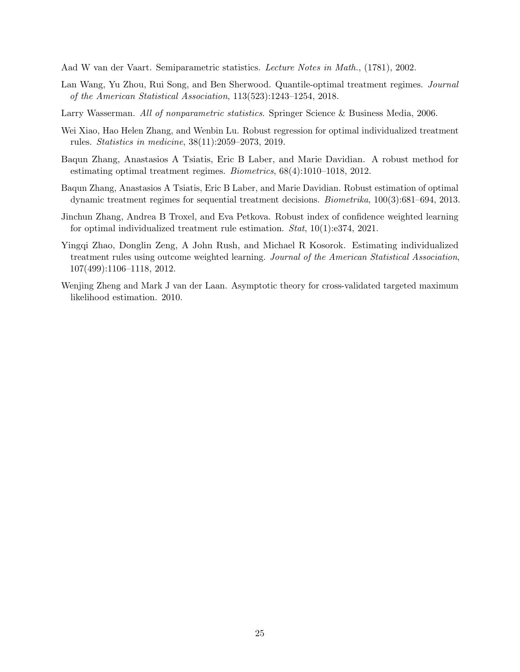<span id="page-24-0"></span>Aad W van der Vaart. Semiparametric statistics. Lecture Notes in Math., (1781), 2002.

- <span id="page-24-1"></span>Lan Wang, Yu Zhou, Rui Song, and Ben Sherwood. Quantile-optimal treatment regimes. Journal of the American Statistical Association, 113(523):1243–1254, 2018.
- <span id="page-24-4"></span>Larry Wasserman. All of nonparametric statistics. Springer Science & Business Media, 2006.
- <span id="page-24-7"></span>Wei Xiao, Hao Helen Zhang, and Wenbin Lu. Robust regression for optimal individualized treatment rules. Statistics in medicine, 38(11):2059–2073, 2019.
- <span id="page-24-2"></span>Baqun Zhang, Anastasios A Tsiatis, Eric B Laber, and Marie Davidian. A robust method for estimating optimal treatment regimes. Biometrics, 68(4):1010–1018, 2012.
- <span id="page-24-6"></span>Baqun Zhang, Anastasios A Tsiatis, Eric B Laber, and Marie Davidian. Robust estimation of optimal dynamic treatment regimes for sequential treatment decisions. Biometrika, 100(3):681–694, 2013.
- <span id="page-24-8"></span>Jinchun Zhang, Andrea B Troxel, and Eva Petkova. Robust index of confidence weighted learning for optimal individualized treatment rule estimation. Stat, 10(1):e374, 2021.
- <span id="page-24-5"></span>Yingqi Zhao, Donglin Zeng, A John Rush, and Michael R Kosorok. Estimating individualized treatment rules using outcome weighted learning. Journal of the American Statistical Association, 107(499):1106–1118, 2012.
- <span id="page-24-3"></span>Wenjing Zheng and Mark J van der Laan. Asymptotic theory for cross-validated targeted maximum likelihood estimation. 2010.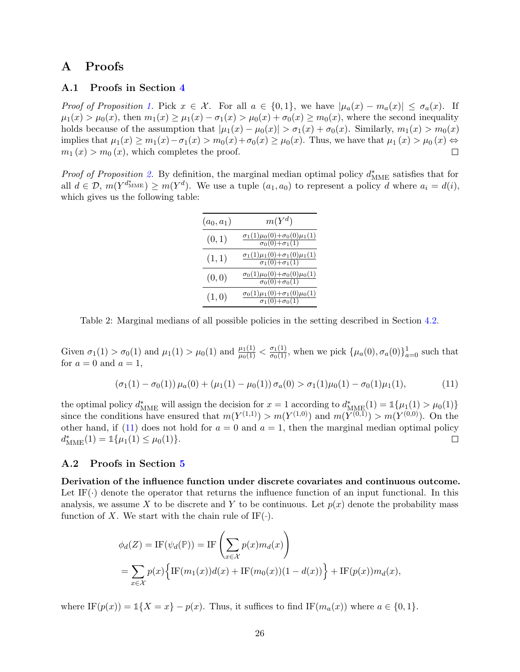# A Proofs

### A.1 Proofs in Section [4](#page-5-0)

Proof of Proposition [1.](#page-5-2) Pick  $x \in \mathcal{X}$ . For all  $a \in \{0,1\}$ , we have  $|\mu_a(x) - m_a(x)| \leq \sigma_a(x)$ . If  $\mu_1(x) > \mu_0(x)$ , then  $m_1(x) \geq \mu_1(x) - \sigma_1(x) > \mu_0(x) + \sigma_0(x) \geq m_0(x)$ , where the second inequality holds because of the assumption that  $|\mu_1(x) - \mu_0(x)| > \sigma_1(x) + \sigma_0(x)$ . Similarly,  $m_1(x) > m_0(x)$ implies that  $\mu_1(x) \geq m_1(x) - \sigma_1(x) > m_0(x) + \sigma_0(x) \geq \mu_0(x)$ . Thus, we have that  $\mu_1(x) > \mu_0(x) \Leftrightarrow$  $m_1(x) > m_0(x)$ , which completes the proof.  $\Box$ 

*Proof of Proposition [2.](#page-6-0)* By definition, the marginal median optimal policy  $d_{\text{MME}}^*$  satisfies that for all  $d \in \mathcal{D}, m(Y^{d^*_{\text{MME}}}) \geq m(Y^d)$ . We use a tuple  $(a_1, a_0)$  to represent a policy d where  $a_i = d(i)$ , which gives us the following table:

<span id="page-25-1"></span>

| $(a_0, a_1)$ | $m(Y^d)$                                                                                               |
|--------------|--------------------------------------------------------------------------------------------------------|
| (0,1)        | $\frac{\sigma_1(1)\mu_0(0)+\sigma_0(0)\mu_1(1)}{\sigma_0(0)+\sigma_1(1)}$                              |
| (1,1)        | $\frac{\sigma_1(1)\mu_1(0)+\sigma_1(0)\mu_1(1)}{\sigma_1(0)+\sigma_1(1)}$                              |
| (0,0)        | $\frac{\sigma_0(1)\mu_0(0)+\sigma_0(0)\mu_0(1)}{\sigma_0(0)+\sigma_0(1)}$                              |
| (1,0)        | $\sigma_0(1)\mu_1(0)+\sigma_1(0)\mu_0(1)$<br>$\frac{\sigma_1(0)+\sigma_0(1)}{\sigma_1(0)+\sigma_0(1)}$ |

Table 2: Marginal medians of all possible policies in the setting described in Section [4.2.](#page-6-1)

Given  $\sigma_1(1) > \sigma_0(1)$  and  $\mu_1(1) > \mu_0(1)$  and  $\frac{\mu_1(1)}{\mu_0(1)} < \frac{\sigma_1(1)}{\sigma_0(1)}$ , when we pick  $\{\mu_a(0), \sigma_a(0)\}_{a=0}^1$  such that for  $a = 0$  and  $a = 1$ ,

$$
(\sigma_1(1) - \sigma_0(1)) \mu_a(0) + (\mu_1(1) - \mu_0(1)) \sigma_a(0) > \sigma_1(1)\mu_0(1) - \sigma_0(1)\mu_1(1), \tag{11}
$$

the optimal policy  $d^*_{\text{MME}}$  will assign the decision for  $x = 1$  according to  $d^*_{\text{MME}}(1) = \mathbb{1}{\mu_1(1)} > \mu_0(1)$ since the conditions have ensured that  $m(Y^{(1,1)}) > m(Y^{(1,0)})$  and  $m(Y^{(0,1)}) > m(Y^{(0,0)})$ . On the other hand, if [\(11\)](#page-25-1) does not hold for  $a = 0$  and  $a = 1$ , then the marginal median optimal policy  $d_{\text{MME}}^*(1) = \mathbb{1}\{\mu_1(1) \leq \mu_0(1)\}.$  $\Box$ 

### <span id="page-25-0"></span>A.2 Proofs in Section [5](#page-8-0)

Derivation of the influence function under discrete covariates and continuous outcome. Let  $IF(\cdot)$  denote the operator that returns the influence function of an input functional. In this analysis, we assume X to be discrete and Y to be continuous. Let  $p(x)$  denote the probability mass function of X. We start with the chain rule of  $IF(\cdot)$ .

$$
\phi_d(Z) = \text{IF}(\psi_d(\mathbb{P})) = \text{IF}\left(\sum_{x \in \mathcal{X}} p(x)m_d(x)\right)
$$
  
= 
$$
\sum_{x \in \mathcal{X}} p(x) \left{\text{IF}(m_1(x))d(x) + \text{IF}(m_0(x))(1 - d(x))\right} + \text{IF}(p(x))m_d(x),
$$

where  $IF(p(x)) = 1\{X = x\} - p(x)$ . Thus, it suffices to find  $IF(m_a(x))$  where  $a \in \{0, 1\}$ .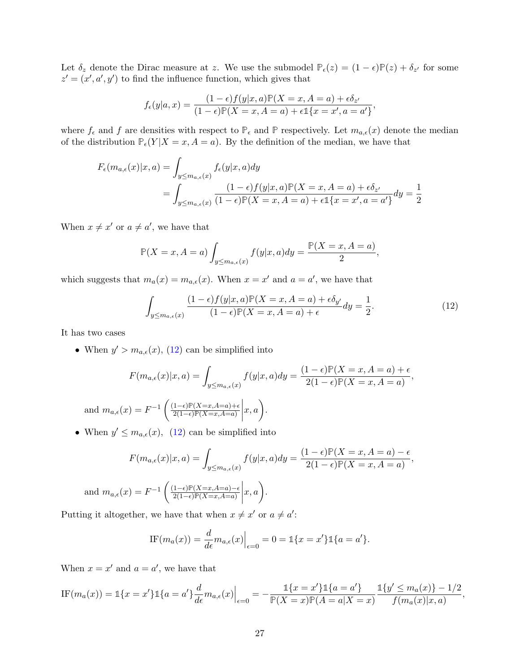Let  $\delta_z$  denote the Dirac measure at z. We use the submodel  $\mathbb{P}_{\epsilon}(z) = (1 - \epsilon)\mathbb{P}(z) + \delta_{z'}$  for some  $z' = (x', a', y')$  to find the influence function, which gives that

$$
f_{\epsilon}(y|a,x) = \frac{(1-\epsilon)f(y|x,a)\mathbb{P}(X=x,A=a) + \epsilon \delta_{z'}}{(1-\epsilon)\mathbb{P}(X=x,A=a) + \epsilon \mathbb{1}\{x=x',a=a'\}},
$$

where  $f_{\epsilon}$  and f are densities with respect to  $\mathbb{P}_{\epsilon}$  and  $\mathbb{P}$  respectively. Let  $m_{a,\epsilon}(x)$  denote the median of the distribution  $\mathbb{P}_{\epsilon}(Y | X = x, A = a)$ . By the definition of the median, we have that

$$
F_{\epsilon}(m_{a,\epsilon}(x)|x,a) = \int_{y \le m_{a,\epsilon}(x)} f_{\epsilon}(y|x,a) dy
$$
  
= 
$$
\int_{y \le m_{a,\epsilon}(x)} \frac{(1-\epsilon)f(y|x,a) \mathbb{P}(X=x,A=a) + \epsilon \delta_{z'}}{(1-\epsilon) \mathbb{P}(X=x,A=a) + \epsilon \mathbb{1}\{x=x',a=a'\}} dy = \frac{1}{2}
$$

When  $x \neq x'$  or  $a \neq a'$ , we have that

$$
\mathbb{P}(X=x, A=a) \int_{y \leq m_{a,\epsilon}(x)} f(y|x, a) dy = \frac{\mathbb{P}(X=x, A=a)}{2},
$$

which suggests that  $m_a(x) = m_{a,\epsilon}(x)$ . When  $x = x'$  and  $a = a'$ , we have that

<span id="page-26-0"></span>
$$
\int_{y \le m_{a,\epsilon}(x)} \frac{(1-\epsilon)f(y|x,a)\mathbb{P}(X=x,A=a) + \epsilon \delta_{y'}}{(1-\epsilon)\mathbb{P}(X=x,A=a) + \epsilon} dy = \frac{1}{2}.
$$
\n(12)

It has two cases

• When  $y' > m_{a,\epsilon}(x)$ , [\(12\)](#page-26-0) can be simplified into

$$
F(m_{a,\epsilon}(x)|x,a) = \int_{y \le m_{a,\epsilon}(x)} f(y|x,a) dy = \frac{(1-\epsilon)\mathbb{P}(X=x, A=a) + \epsilon}{2(1-\epsilon)\mathbb{P}(X=x, A=a)},
$$
  
and  $m_{a,\epsilon}(x) = F^{-1}\left(\frac{(1-\epsilon)\mathbb{P}(X=x, A=a) + \epsilon}{2(1-\epsilon)\mathbb{P}(X=x, A=a)}\bigg|x,a\right).$ 

• When  $y' \n\t\leq m_{a,\epsilon}(x)$ , [\(12\)](#page-26-0) can be simplified into

$$
F(m_{a,\epsilon}(x)|x,a) = \int_{y \le m_{a,\epsilon}(x)} f(y|x,a) dy = \frac{(1-\epsilon)\mathbb{P}(X=x, A=a) - \epsilon}{2(1-\epsilon)\mathbb{P}(X=x, A=a)},
$$
  
and  $m_{a,\epsilon}(x) = F^{-1}\left(\frac{(1-\epsilon)\mathbb{P}(X=x, A=a) - \epsilon}{2(1-\epsilon)\mathbb{P}(X=x, A=a)}\middle|x,a\right).$ 

Putting it altogether, we have that when  $x \neq x'$  or  $a \neq a'$ :

IF
$$
(m_a(x)) = \frac{d}{d\epsilon} m_{a,\epsilon}(x) \Big|_{\epsilon=0} = 0 = \mathbb{1}\{x = x'\}\mathbb{1}\{a = a'\}.
$$

When  $x = x'$  and  $a = a'$ , we have that

IF
$$
(m_a(x)) = 1\{x = x'\}\mathbb{1}\{a = a'\}\frac{d}{d\epsilon}m_{a,\epsilon}(x)\Big|_{\epsilon=0} = -\frac{\mathbb{1}\{x = x'\}\mathbb{1}\{a = a'\}}{\mathbb{P}(X = x)\mathbb{P}(A = a|X = x)}\frac{\mathbb{1}\{y' \leq m_a(x)\} - 1/2}{f(m_a(x)|x, a)},
$$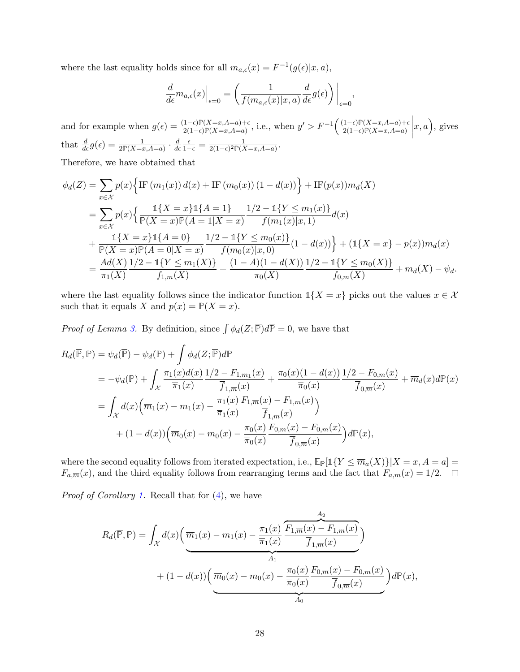where the last equality holds since for all  $m_{a,\epsilon}(x) = F^{-1}(g(\epsilon)|x, a)$ ,

$$
\frac{d}{d\epsilon}m_{a,\epsilon}(x)\Big|_{\epsilon=0} = \left(\frac{1}{f(m_{a,\epsilon}(x)|x,a)}\frac{d}{d\epsilon}g(\epsilon)\right)\Big|_{\epsilon=0},
$$

and for example when  $g(\epsilon) = \frac{(1-\epsilon)\mathbb{P}(X=x, A=a)+\epsilon}{2(1-\epsilon)\mathbb{P}(X=x, A=a)}$ , i.e., when  $y' > F^{-1}\left(\frac{(1-\epsilon)\mathbb{P}(X=x, A=a)+\epsilon}{2(1-\epsilon)\mathbb{P}(X=x, A=a)}\right)$  $2(1-\epsilon)\mathbb{P}(X=x,A=a)$  $\begin{array}{c} \begin{array}{c} \begin{array}{c} \begin{array}{c} \end{array}\\ \end{array} \end{array} \end{array}$  $(x, a)$ , gives that  $\frac{d}{d\epsilon}g(\epsilon) = \frac{1}{2\mathbb{P}(X=x,A=a)} \cdot \frac{d}{d\epsilon}$  $\overline{d\epsilon}$  $\frac{\epsilon}{1-\epsilon} = \frac{1}{2(1-\epsilon)^2 \mathbb{P}(\lambda)}$  $\frac{1}{2(1-\epsilon)^2 \mathbb{P}(X=x,A=a)}$ 

Therefore, we have obtained that

$$
\phi_d(Z) = \sum_{x \in \mathcal{X}} p(x) \Big\{ \text{IF } (m_1(x)) d(x) + \text{IF } (m_0(x)) (1 - d(x)) \Big\} + \text{IF}(p(x)) m_d(X)
$$
\n
$$
= \sum_{x \in \mathcal{X}} p(x) \Big\{ \frac{\mathbb{1}\{X = x\} \mathbb{1}\{A = 1\}}{P(X = x) \mathbb{P}(A = 1 | X = x)} \frac{1/2 - \mathbb{1}\{Y \le m_1(x)\}}{f(m_1(x)|x, 1)} d(x)
$$
\n
$$
+ \frac{\mathbb{1}\{X = x\} \mathbb{1}\{A = 0\}}{P(X = x) \mathbb{P}(A = 0 | X = x)} \frac{1/2 - \mathbb{1}\{Y \le m_0(x)\}}{f(m_0(x)|x, 0)} (1 - d(x)) \Big\} + (\mathbb{1}\{X = x\} - p(x)) m_d(x)
$$
\n
$$
= \frac{Ad(X)}{\pi_1(X)} \frac{1/2 - \mathbb{1}\{Y \le m_1(X)\}}{f_{1,m}(X)} + \frac{(1 - A)(1 - d(X))}{\pi_0(X)} \frac{1/2 - \mathbb{1}\{Y \le m_0(X)\}}{f_{0,m}(X)} + m_d(X) - \psi_d.
$$

where the last equality follows since the indicator function  $1\{X = x\}$  picks out the values  $x \in \mathcal{X}$ such that it equals X and  $p(x) = P(X = x)$ .

*Proof of Lemma [3.](#page-9-0)* By definition, since  $\int \phi_d(Z; \overline{P})d\overline{P} = 0$ , we have that

$$
R_d(\overline{\mathbb{P}}, \mathbb{P}) = \psi_d(\overline{\mathbb{P}}) - \psi_d(\mathbb{P}) + \int \phi_d(Z; \overline{\mathbb{P}})d\mathbb{P}
$$
  
\n
$$
= -\psi_d(\mathbb{P}) + \int_{\mathcal{X}} \frac{\pi_1(x)d(x)}{\pi_1(x)} \frac{1/2 - F_{1,\overline{m}_1}(x)}{\overline{f}_{1,\overline{m}}(x)} + \frac{\pi_0(x)(1 - d(x))}{\overline{\pi}_0(x)} \frac{1/2 - F_{0,\overline{m}}(x)}{\overline{f}_{0,\overline{m}}(x)} + \overline{m}_d(x)d\mathbb{P}(x)
$$
  
\n
$$
= \int_{\mathcal{X}} d(x)\Big(\overline{m}_1(x) - m_1(x) - \frac{\pi_1(x)}{\overline{\pi}_1(x)} \frac{F_{1,\overline{m}}(x) - F_{1,m}(x)}{\overline{f}_{1,\overline{m}}(x)}\Big)
$$
  
\n
$$
+ (1 - d(x))\Big(\overline{m}_0(x) - m_0(x) - \frac{\pi_0(x)}{\overline{\pi}_0(x)} \frac{F_{0,\overline{m}}(x) - F_{0,m}(x)}{\overline{f}_{0,\overline{m}}(x)}\Big)d\mathbb{P}(x),
$$

where the second equality follows from iterated expectation, i.e.,  $\mathbb{E}_{\mathbb{P}}[\mathbb{1}\{Y \leq \overline{m}_a(X)\}|X=x, A=a]$  $F_{a,\overline{m}}(x)$ , and the third equality follows from rearranging terms and the fact that  $F_{a,m}(x) = 1/2$ .  $\Box$ 

*Proof of Corollary [1.](#page-10-3)* Recall that for  $(4)$ , we have

$$
R_d(\overline{\mathbb{P}}, \mathbb{P}) = \int_{\mathcal{X}} d(x) \left( \frac{\overline{m}_1(x) - m_1(x) - \frac{\pi_1(x)}{\overline{\pi}_1(x)} \frac{\overline{F_{1,\overline{m}}(x) - F_{1,m}(x)}}{\overline{f}_{1,\overline{m}}(x)} \right) + (1 - d(x)) \left( \frac{\overline{m}_0(x) - m_0(x) - \frac{\pi_0(x)}{\overline{\pi}_0(x)} \frac{\overline{F_{0,\overline{m}}(x) - F_{0,m}(x)}{\overline{f}_{0,\overline{m}}(x)} \right) d\mathbb{P}(x),
$$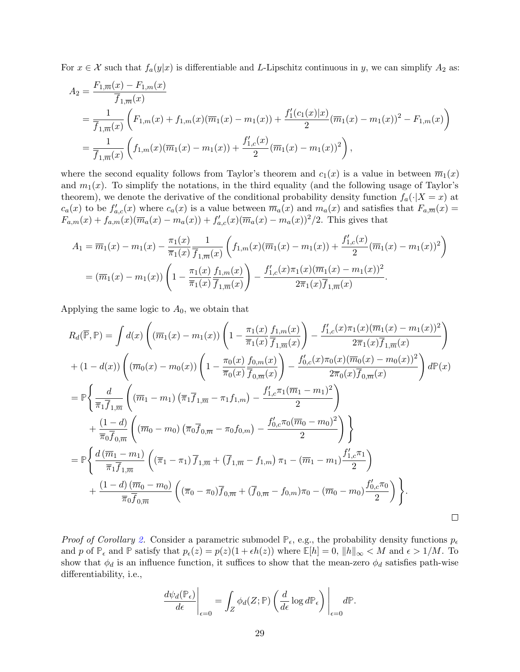For  $x \in \mathcal{X}$  such that  $f_a(y|x)$  is differentiable and L-Lipschitz continuous in y, we can simplify  $A_2$  as:

$$
A_2 = \frac{F_{1,\overline{m}}(x) - F_{1,m}(x)}{\overline{f}_{1,\overline{m}}(x)}
$$
  
= 
$$
\frac{1}{\overline{f}_{1,\overline{m}}(x)} \left( F_{1,m}(x) + f_{1,m}(x) (\overline{m}_1(x) - m_1(x)) + \frac{f_1'(c_1(x)|x)}{2} (\overline{m}_1(x) - m_1(x))^2 - F_{1,m}(x) \right)
$$
  
= 
$$
\frac{1}{\overline{f}_{1,\overline{m}}(x)} \left( f_{1,m}(x) (\overline{m}_1(x) - m_1(x)) + \frac{f_{1,c}'(x)}{2} (\overline{m}_1(x) - m_1(x))^2 \right),
$$

where the second equality follows from Taylor's theorem and  $c_1(x)$  is a value in between  $\overline{m}_1(x)$ and  $m_1(x)$ . To simplify the notations, in the third equality (and the following usage of Taylor's theorem), we denote the derivative of the conditional probability density function  $f_a(\cdot|X=x)$  at  $c_a(x)$  to be  $f'_{a,c}(x)$  where  $c_a(x)$  is a value between  $\overline{m}_a(x)$  and  $m_a(x)$  and satisfies that  $F_{a,\overline{m}}(x)$  $F_{a,m}(x) + f_{a,m}(x)(\overline{m}_a(x) - m_a(x)) + f'_{a,c}(x)(\overline{m}_a(x) - m_a(x))^2/2$ . This gives that

$$
A_1 = \overline{m}_1(x) - m_1(x) - \frac{\pi_1(x)}{\overline{\pi}_1(x)} \frac{1}{\overline{f}_{1,\overline{m}}(x)} \left( f_{1,m}(x) (\overline{m}_1(x) - m_1(x)) + \frac{f'_{1,c}(x)}{2} (\overline{m}_1(x) - m_1(x))^2 \right)
$$
  
=  $(\overline{m}_1(x) - m_1(x)) \left( 1 - \frac{\pi_1(x)}{\overline{\pi}_1(x)} \frac{f_{1,m}(x)}{\overline{f}_{1,\overline{m}}(x)} \right) - \frac{f'_{1,c}(x)\pi_1(x)(\overline{m}_1(x) - m_1(x))^2}{2\overline{\pi}_1(x)\overline{f}_{1,\overline{m}}(x)}.$ 

Applying the same logic to  $A_0$ , we obtain that

$$
R_d(\overline{\mathbb{P}}, \mathbb{P}) = \int d(x) \left( (\overline{m}_1(x) - m_1(x)) \left( 1 - \frac{\pi_1(x)}{\overline{\pi}_1(x)} \frac{f_{1,m}(x)}{\overline{f}_{1,\overline{m}}(x)} \right) - \frac{f'_{1,c}(x)\pi_1(x)(\overline{m}_1(x) - m_1(x))^2}{2\overline{\pi}_1(x)\overline{f}_{1,\overline{m}}(x)} \right)
$$
  
+ 
$$
(1 - d(x)) \left( (\overline{m}_0(x) - m_0(x)) \left( 1 - \frac{\pi_0(x)}{\overline{\pi}_0(x)} \frac{f_{0,m}(x)}{\overline{f}_{0,\overline{m}}(x)} \right) - \frac{f'_{0,c}(x)\pi_0(x)(\overline{m}_0(x) - m_0(x))^2}{2\overline{\pi}_0(x)\overline{f}_{0,\overline{m}}(x)} \right) d\mathbb{P}(x)
$$
  
= 
$$
\mathbb{P} \left\{ \frac{d}{\overline{\pi}_1 \overline{f}_{1,\overline{m}}} \left( (\overline{m}_1 - m_1) \left( \overline{\pi}_1 \overline{f}_{1,\overline{m}} - \pi_1 f_{1,m} \right) - \frac{f'_{1,c}\pi_1(\overline{m}_1 - m_1)^2}{2} \right) + \frac{(1 - d)}{\overline{\pi}_0 \overline{f}_{0,\overline{m}}} \left( (\overline{m}_0 - m_0) \left( \overline{\pi}_0 \overline{f}_{0,\overline{m}} - \pi_0 f_{0,m} \right) - \frac{f'_{0,c}\pi_0(\overline{m}_0 - m_0)^2}{2} \right) \right\}
$$
  
= 
$$
\mathbb{P} \left\{ \frac{d(\overline{m}_1 - m_1)}{\overline{\pi}_1 \overline{f}_{1,\overline{m}}} \left( (\overline{\pi}_1 - \pi_1) \overline{f}_{1,\overline{m}} + (\overline{f}_{1,\overline{m}} - f_{1,m}) \pi_1 - (\overline{m}_1 - m_1) \frac{f'_{1,c}\pi_1}{2} \right) + \frac{(1 - d)(\overline{m}_0 - m_0)}{\overline{\pi}_0 \overline{f}_{0,\overline{m}}} \left( (\overline{\pi}_0 - \pi_0) \overline{f}_{0,\overline{
$$

*Proof of Corollary [2.](#page-10-0)* Consider a parametric submodel  $\mathbb{P}_{\epsilon}$ , e.g., the probability density functions  $p_{\epsilon}$ and p of  $\mathbb{P}_{\epsilon}$  and  $\mathbb{P}$  satisfy that  $p_{\epsilon}(z) = p(z)(1 + \epsilon h(z))$  where  $\mathbb{E}[h] = 0$ ,  $\|h\|_{\infty} < M$  and  $\epsilon > 1/M$ . To show that  $\phi_d$  is an influence function, it suffices to show that the mean-zero  $\phi_d$  satisfies path-wise differentiability, i.e.,

$$
\left. \frac{d \psi_d(\mathbb{P}_{\epsilon})}{d \epsilon} \right|_{\epsilon=0} = \int_Z \phi_d(Z; \mathbb{P}) \left( \frac{d}{d \epsilon} \log d \mathbb{P}_{\epsilon} \right) \Bigg|_{\epsilon=0} d \mathbb{P}.
$$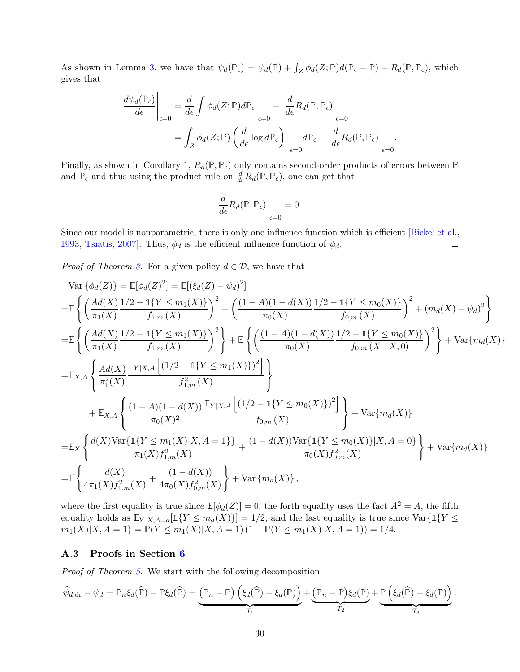As shown in Lemma [3,](#page-9-0) we have that  $\psi_d(\mathbb{P}_{\epsilon}) = \psi_d(\mathbb{P}) + \int_Z \phi_d(Z; \mathbb{P}) d(\mathbb{P}_{\epsilon} - \mathbb{P}) - R_d(\mathbb{P}, \mathbb{P}_{\epsilon})$ , which gives that

$$
\frac{d\psi_d(\mathbb{P}_{\epsilon})}{d\epsilon}\Big|_{\epsilon=0} = \frac{d}{d\epsilon} \int \phi_d(Z; \mathbb{P}) d\mathbb{P}_{\epsilon} \Big|_{\epsilon=0} - \frac{d}{d\epsilon} R_d(\mathbb{P}, \mathbb{P}_{\epsilon}) \Big|_{\epsilon=0}
$$

$$
= \int_Z \phi_d(Z; \mathbb{P}) \left(\frac{d}{d\epsilon} \log d\mathbb{P}_{\epsilon}\right) \Big|_{\epsilon=0} d\mathbb{P}_{\epsilon} - \frac{d}{d\epsilon} R_d(\mathbb{P}, \mathbb{P}_{\epsilon}) \Big|_{\epsilon=0}.
$$

Finally, as shown in Corollary [1,](#page-10-3)  $R_d(\mathbb{P}, \mathbb{P}_\epsilon)$  only contains second-order products of errors between  $\mathbb P$ and  $\mathbb{P}_{\epsilon}$  and thus using the product rule on  $\frac{d}{d\epsilon}R_d(\mathbb{P}, \mathbb{P}_{\epsilon})$ , one can get that

$$
\left. \frac{d}{d\epsilon} R_d(\mathbb{P}, \mathbb{P}_{\epsilon}) \right|_{\epsilon=0} = 0.
$$

Since our model is nonparametric, there is only one influence function which is efficient [\[Bickel et al.,](#page-21-1) [1993,](#page-21-1) [Tsiatis,](#page-23-6) [2007\]](#page-23-6). Thus,  $\phi_d$  is the efficient influence function of  $\psi_d$ .  $\Box$ 

*Proof of Theorem [3.](#page-10-1)* For a given policy  $d \in \mathcal{D}$ , we have that

$$
\operatorname{Var}\left\{\phi_d(Z)\right\} = \mathbb{E}[\phi_d(Z)^2] = \mathbb{E}[(\xi_d(Z) - \psi_d)^2]
$$
\n
$$
= \mathbb{E}\left\{\left(\frac{Ad(X)}{\pi_1(X)}\frac{1/2 - 1\{Y \le m_1(X)\}}{f_{1,m}(X)}\right)^2 + \left(\frac{(1-A)(1-d(X))}{\pi_0(X)}\frac{1/2 - 1\{Y \le m_0(X)\}}{f_{0,m}(X)}\right)^2 + (m_d(X) - \psi_d)^2\right\}
$$
\n
$$
= \mathbb{E}\left\{\left(\frac{Ad(X)}{\pi_1(X)}\frac{1/2 - 1\{Y \le m_1(X)\}}{f_{1,m}(X)}\right)^2\right\} + \mathbb{E}\left\{\left(\frac{(1-A)(1-d(X))}{\pi_0(X)}\frac{1/2 - 1\{Y \le m_0(X)\}}{f_{0,m}(X \mid X, 0)}\right)^2\right\} + \operatorname{Var}\{m_d(X)\}
$$
\n
$$
= \mathbb{E}_{X,A}\left\{\frac{Ad(X)}{\pi_1^2(X)}\frac{\mathbb{E}_{Y|X,A}\left[(1/2 - 1\{Y \le m_1(X)\})^2\right]}{f_{1,m}^2(X)}\right\}
$$
\n
$$
+ \mathbb{E}_{X,A}\left\{\frac{(1-A)(1-d(X))\frac{\mathbb{E}_{Y|X,A}\left[(1/2 - 1\{Y \le m_0(X)\})^2\right]}{f_{0,m}(X)}\right\} + \operatorname{Var}\{m_d(X)\}
$$
\n
$$
= \mathbb{E}_{X}\left\{\frac{d(X)\operatorname{Var}\{1\{Y \le m_1(X)|X, A = 1\}\}}{\pi_1(X)f_{1,m}^2(X)} + \frac{(1-d(X))\operatorname{Var}\{1\{Y \le m_0(X)\}|X, A = 0\}}{\pi_0(X)f_{0,m}^2(X)}\right\} + \operatorname{Var}\{m_d(X)\}
$$
\n
$$
= \mathbb{E}\left\{\frac{d(X)}{4\pi_1(X)f_{1,m}^2(X)} + \frac{(1-d(X))}{4\pi_0(X)f_{0,m}^2(X)}\right\} + \operatorname{Var}\{m_d(X)\},
$$

where the first equality is true since  $\mathbb{E}[\phi_d(Z)] = 0$ , the forth equality uses the fact  $A^2 = A$ , the fifth equality holds as  $\mathbb{E}_{Y|X,A=a}[\mathbb{1}\{Y \leq m_a(X)\}] = 1/2$ , and the last equality is true since  $\text{Var}\{\mathbb{1}\{Y \leq \mathbb{1}\}$  $m_1(X)|X, A = 1$ } =  $\mathbb{P}(Y \le m_1(X)|X, A = 1)$   $(1 - \mathbb{P}(Y \le m_1(X)|X, A = 1)) = 1/4$ .

### A.3 Proofs in Section [6](#page-11-0)

Proof of Theorem [5.](#page-12-0) We start with the following decomposition

$$
\widehat{\psi}_{d, dr} - \psi_d = \mathbb{P}_n \xi_d(\widehat{\mathbb{P}}) - \mathbb{P} \xi_d(\widehat{\mathbb{P}}) = \underbrace{(\mathbb{P}_n - \mathbb{P}) \left( \xi_d(\widehat{\mathbb{P}}) - \xi_d(\mathbb{P}) \right)}_{T_1} + \underbrace{(\mathbb{P}_n - \mathbb{P}) \xi_d(\mathbb{P})}_{T_2} + \underbrace{\mathbb{P} \left( \xi_d(\widehat{\mathbb{P}}) - \xi_d(\mathbb{P}) \right)}_{T_3}.
$$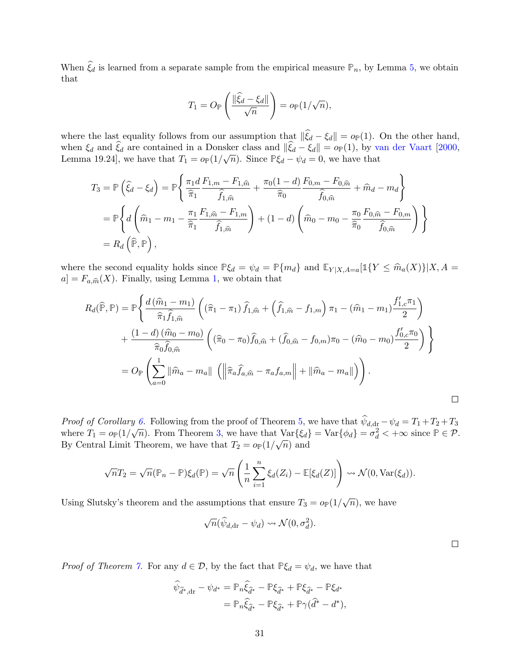When  $\xi_d$  is learned from a separate sample from the empirical measure  $\mathbb{P}_n$ , by Lemma [5,](#page-34-1) we obtain that

$$
T_1 = O_{\mathbb{P}}\left(\frac{\|\widehat{\xi}_d - \xi_d\|}{\sqrt{n}}\right) = o_{\mathbb{P}}(1/\sqrt{n}),
$$

where the last equality follows from our assumption that  $\|\xi_d - \xi_d\| = o_P(1)$ . On the other hand, when  $\xi_d$  and  $\xi_d$  are contained in a Donsker class and  $\|\xi_d - \xi_d\| = o_P(1)$ , by [van der Vaart](#page-23-18) [\[2000,](#page-23-18) Lemma 19.24], we have that  $T_1 = o_P(1/\sqrt{n})$ . Since  $P\xi_d - \psi_d = 0$ , we have that

$$
T_3 = \mathbb{P}\left(\hat{\xi}_d - \xi_d\right) = \mathbb{P}\left\{\frac{\pi_1 d}{\hat{\pi}_1} \frac{F_{1,m} - F_{1,\hat{m}}}{\hat{f}_{1,\hat{m}}} + \frac{\pi_0 (1-d)}{\hat{\pi}_0} \frac{F_{0,m} - F_{0,\hat{m}}}{\hat{f}_{0,\hat{m}}} + \hat{m}_d - m_d\right\}
$$
  
\n
$$
= \mathbb{P}\left\{d\left(\hat{m}_1 - m_1 - \frac{\pi_1}{\hat{\pi}_1} \frac{F_{1,\hat{m}} - F_{1,m}}{\hat{f}_{1,\hat{m}}}\right) + (1-d)\left(\hat{m}_0 - m_0 - \frac{\pi_0}{\hat{\pi}_0} \frac{F_{0,\hat{m}} - F_{0,m}}{\hat{f}_{0,\hat{m}}}\right)\right\}
$$
  
\n
$$
= R_d\left(\widehat{\mathbb{P}}, \mathbb{P}\right),
$$

where the second equality holds since  $\mathbb{P}\xi_d = \psi_d = \mathbb{P}\{m_d\}$  and  $\mathbb{E}_{Y | X, A=a}[\mathbb{1}\{Y \leq \hat{m}_a(X)\}|X, A = a]$  $a] = F_{a,\widehat{m}}(X)$ . Finally, using Lemma [1,](#page-10-3) we obtain that

$$
R_d(\widehat{\mathbb{P}}, \mathbb{P}) = \mathbb{P}\left\{\frac{d(\widehat{m}_1 - m_1)}{\widehat{\pi}_1 \widehat{f}_{1,\widehat{m}}} \left( (\widehat{\pi}_1 - \pi_1) \widehat{f}_{1,\widehat{m}} + (\widehat{f}_{1,\widehat{m}} - f_{1,m}) \pi_1 - (\widehat{m}_1 - m_1) \frac{f'_{1,c} \pi_1}{2} \right) \right. \\ \left. + \frac{(1-d)(\widehat{m}_0 - m_0)}{\widehat{\pi}_0 \widehat{f}_{0,\widehat{m}}} \left( (\widehat{\pi}_0 - \pi_0) \widehat{f}_{0,\widehat{m}} + (\widehat{f}_{0,\widehat{m}} - f_{0,m}) \pi_0 - (\widehat{m}_0 - m_0) \frac{f'_{0,c} \pi_0}{2} \right) \right\} \\ = O_{\mathbb{P}}\left( \sum_{a=0}^1 \|\widehat{m}_a - m_a\| \left( \left\|\widehat{\pi}_a \widehat{f}_{a,\widehat{m}} - \pi_a f_{a,m}\right\| + \|\widehat{m}_a - m_a\| \right) \right).
$$

*Proof of Corollary [6.](#page-12-2)* Following from the proof of Theorem [5,](#page-12-0) we have that  $\psi_{d,dr} - \psi_d = T_1 + T_2 + T_3$ where  $T_1 = o_{\mathbb{P}}(1/\sqrt{n})$ . From Theorem [3,](#page-10-1) we have that  $\text{Var}\{\xi_d\} = \text{Var}\{\phi_d\} = \sigma_d^2 < +\infty$  since  $\mathbb{P} \in \mathcal{P}$ . By Central Limit Theorem, we have that  $T_2 = o_P(1/\sqrt{n})$  and

$$
\sqrt{n}T_2 = \sqrt{n}(\mathbb{P}_n - \mathbb{P})\xi_d(\mathbb{P}) = \sqrt{n}\left(\frac{1}{n}\sum_{i=1}^n \xi_d(Z_i) - \mathbb{E}[\xi_d(Z)]\right) \rightsquigarrow \mathcal{N}(0, \text{Var}(\xi_d)).
$$

Using Slutsky's theorem and the assumptions that ensure  $T_3 = o_P(1/\sqrt{n})$ , we have

$$
\sqrt{n}(\widehat{\psi}_{d,\mathrm{dr}}-\psi_d)\leadsto\mathcal{N}(0,\sigma_d^2).
$$

*Proof of Theorem [7.](#page-13-1)* For any  $d \in \mathcal{D}$ , by the fact that  $\mathbb{P}\xi_d = \psi_d$ , we have that

$$
\hat{\psi}_{\hat{d}^*,\text{dr}} - \psi_{d^*} = \mathbb{P}_n \hat{\xi}_{\hat{d}^*} - \mathbb{P}\xi_{\hat{d}^*} + \mathbb{P}\xi_{\hat{d}^*} - \mathbb{P}\xi_{d^*}
$$
\n
$$
= \mathbb{P}_n \hat{\xi}_{\hat{d}^*} - \mathbb{P}\xi_{\hat{d}^*} + \mathbb{P}\gamma(\hat{d}^* - d^*),
$$

 $\Box$ 

 $\Box$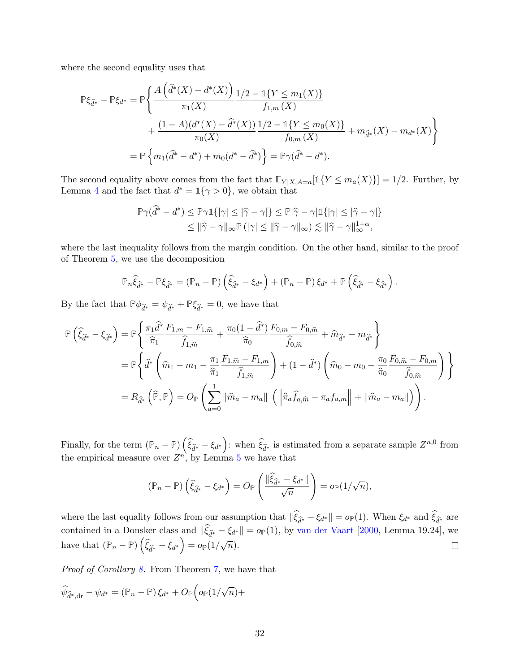where the second equality uses that

$$
\mathbb{P}\xi_{\hat{d}^*} - \mathbb{P}\xi_{d^*} = \mathbb{P}\left\{\frac{A\left(\hat{d}^*(X) - d^*(X)\right)\_1/2 - 1\{Y \le m_1(X)\}}{\pi_1(X)} + \frac{(1-A)(d^*(X) - \hat{d}^*(X))\_1/2 - 1\{Y \le m_0(X)\}}{\pi_0(X)} + m_{\hat{d}^*}(X) - m_{d^*}(X)\right\}
$$

$$
= \mathbb{P}\left\{m_1(\hat{d}^* - d^*) + m_0(d^* - \hat{d}^*)\right\} = \mathbb{P}\gamma(\hat{d}^* - d^*).
$$

The second equality above comes from the fact that  $\mathbb{E}_{Y|X,A=a}[\mathbb{1}\{Y \leq m_a(X)\}] = 1/2$ . Further, by Lemma [4](#page-34-0) and the fact that  $d^* = \mathbb{1}\{\gamma > 0\}$ , we obtain that

$$
\mathbb{P}\gamma(\widehat{d}^* - d^*) \le \mathbb{P}\gamma \mathbb{1}\{|\gamma| \le |\widehat{\gamma} - \gamma|\} \le \mathbb{P}|\widehat{\gamma} - \gamma|\mathbb{1}\{|\gamma| \le |\widehat{\gamma} - \gamma|\}
$$
  

$$
\le ||\widehat{\gamma} - \gamma||_{\infty}\mathbb{P}\left(|\gamma| \le ||\widehat{\gamma} - \gamma||_{\infty}\right) \lesssim ||\widehat{\gamma} - \gamma||_{\infty}^{1+\alpha},
$$

where the last inequality follows from the margin condition. On the other hand, similar to the proof of Theorem [5,](#page-12-0) we use the decomposition

$$
\mathbb{P}_n \widehat{\xi}_{\widehat{d}^*} - \mathbb{P} \xi_{\widehat{d}^*} = (\mathbb{P}_n - \mathbb{P}) \left( \widehat{\xi}_{\widehat{d}^*} - \xi_{d^*} \right) + (\mathbb{P}_n - \mathbb{P}) \xi_{d^*} + \mathbb{P} \left( \widehat{\xi}_{\widehat{d}^*} - \xi_{\widehat{d}^*} \right).
$$

By the fact that  $\mathbb{P}\phi_{\hat{d}^*} = \psi_{\hat{d}^*} + \mathbb{P}\xi_{\hat{d}^*} = 0$ , we have that

$$
\mathbb{P}\left(\hat{\xi}_{\hat{d}^*} - \xi_{\hat{d}^*}\right) = \mathbb{P}\left\{\frac{\pi_1 \hat{d}^*}{\hat{\pi}_1} \frac{F_{1,m} - F_{1,\hat{m}}}{\hat{f}_{1,\hat{m}}} + \frac{\pi_0 (1 - \hat{d}^*)}{\hat{\pi}_0} \frac{F_{0,m} - F_{0,\hat{m}}}{\hat{f}_{0,\hat{m}}} + \hat{m}_{\hat{d}^*} - m_{\hat{d}^*}\right\}
$$
  
\n
$$
= \mathbb{P}\left\{\hat{d}^*\left(\hat{m}_1 - m_1 - \frac{\pi_1}{\hat{\pi}_1} \frac{F_{1,\hat{m}} - F_{1,m}}{\hat{f}_{1,\hat{m}}}\right) + (1 - \hat{d}^*)\left(\hat{m}_0 - m_0 - \frac{\pi_0}{\hat{\pi}_0} \frac{F_{0,\hat{m}} - F_{0,m}}{\hat{f}_{0,\hat{m}}}\right)\right\}
$$
  
\n
$$
= R_{\hat{d}^*}\left(\hat{\mathbb{P}}, \mathbb{P}\right) = O_{\mathbb{P}}\left(\sum_{a=0}^1 \|\hat{m}_a - m_a\| \left(\left\|\hat{\pi}_a \hat{f}_{a,\hat{m}} - \pi_a f_{a,m}\right\| + \|\hat{m}_a - m_a\|\right)\right).
$$

Finally, for the term  $(\mathbb{P}_n - \mathbb{P})\left(\widehat{\xi}_{\widehat{d}^*} - \xi_{d^*}\right)$ : when  $\widehat{\xi}_{\widehat{d}^*}$  is estimated from a separate sample  $Z^{n,0}$  from the empirical measure over  $Z^n$ , by Lemma [5](#page-34-1) we have that

$$
(\mathbb{P}_n - \mathbb{P})\left(\widehat{\xi}_{\widehat{d}^*} - \xi_{d^*}\right) = O_{\mathbb{P}}\left(\frac{\|\widehat{\xi}_{\widehat{d}^*} - \xi_{d^*}\|}{\sqrt{n}}\right) = o_{\mathbb{P}}(1/\sqrt{n}),
$$

where the last equality follows from our assumption that  $\|\xi_{\hat{d}^*} - \xi_{d^*}\| = o_P(1)$ . When  $\xi_{d^*}$  and  $\xi_{\hat{d}^*}$  are contained in a Donsker class and  $\|\xi_{\hat{d}^*} - \xi_{d^*}\| = o_P(1)$ , by [van der Vaart](#page-23-18) [\[2000,](#page-23-18) Lemma 19.24], we have that  $(\mathbb{P}_n - \mathbb{P})\left(\widehat{\xi}_{\widehat{d}^*} - \xi_{d^*}\right) = o_{\mathbb{P}}(1/\sqrt{n}).$  $\Box$ 

Proof of Corollary [8.](#page-14-1) From Theorem [7,](#page-13-1) we have that

$$
\widehat{\psi}_{\widehat{d}^*,\text{dr}} - \psi_{d^*} = (\mathbb{P}_n - \mathbb{P})\,\xi_{d^*} + O_{\mathbb{P}}\Big(\mathfrak{o}_{\mathbb{P}}(1/\sqrt{n}) +
$$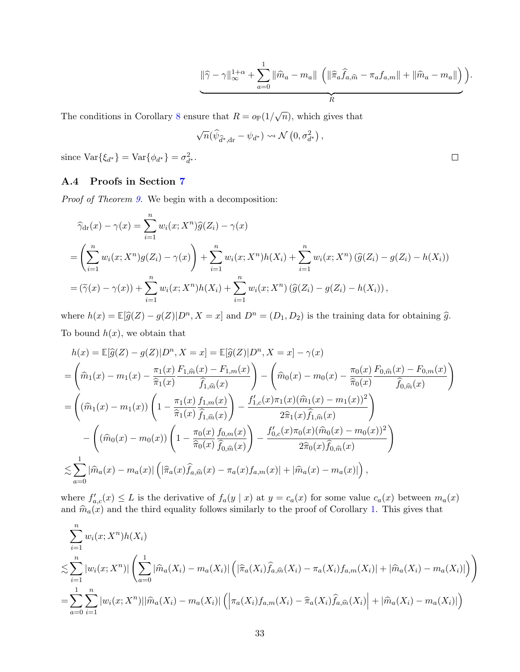$$
\|\widehat{\gamma}-\gamma\|_{\infty}^{1+\alpha}+\sum_{a=0}^{1}\|\widehat{m}_a-m_a\|\left(\|\widehat{\pi}_a\widehat{f}_{a,\widehat{m}}-\pi_a f_{a,m}\|+\|\widehat{m}_a-m_a\|\right)\right).
$$

 $\Box$ 

The conditions in Corollary [8](#page-14-1) ensure that  $R = o_P(1/\sqrt{n})$ , which gives that

$$
\sqrt{n}(\widehat{\psi}_{\widehat{d}^*,\text{dr}}-\psi_{d^*})\leadsto \mathcal{N}\left(0,\sigma_{d^*}^2\right),
$$

since  $\text{Var}\{\xi_{d^*}\} = \text{Var}\{\phi_{d^*}\} = \sigma_{d^*}^2$ .

### A.4 Proofs in Section [7](#page-15-0)

Proof of Theorem [9.](#page-16-1) We begin with a decomposition:

$$
\widehat{\gamma}_{dr}(x) - \gamma(x) = \sum_{i=1}^{n} w_i(x; X^n) \widehat{g}(Z_i) - \gamma(x)
$$
  
=  $\left(\sum_{i=1}^{n} w_i(x; X^n) g(Z_i) - \gamma(x)\right) + \sum_{i=1}^{n} w_i(x; X^n) h(X_i) + \sum_{i=1}^{n} w_i(x; X^n) (\widehat{g}(Z_i) - g(Z_i) - h(X_i))$   
=  $(\widetilde{\gamma}(x) - \gamma(x)) + \sum_{i=1}^{n} w_i(x; X^n) h(X_i) + \sum_{i=1}^{n} w_i(x; X^n) (\widehat{g}(Z_i) - g(Z_i) - h(X_i)),$ 

where  $h(x) = \mathbb{E}[\hat{g}(Z) - g(Z)|D^n, X = x]$  and  $D^n = (D_1, D_2)$  is the training data for obtaining  $\hat{g}$ . To bound  $h(x)$ , we obtain that

$$
h(x) = \mathbb{E}[\hat{g}(Z) - g(Z)|D^n, X = x] = \mathbb{E}[\hat{g}(Z)|D^n, X = x] - \gamma(x)
$$
  
\n
$$
= \left(\hat{m}_1(x) - m_1(x) - \frac{\pi_1(x)}{\hat{\pi}_1(x)} \frac{F_{1,\hat{m}}(x) - F_{1,m}(x)}{\hat{f}_{1,\hat{m}}(x)}\right) - \left(\hat{m}_0(x) - m_0(x) - \frac{\pi_0(x)}{\hat{\pi}_0(x)} \frac{F_{0,\hat{m}}(x) - F_{0,m}(x)}{\hat{f}_{0,\hat{m}}(x)}\right)
$$
  
\n
$$
= \left((\hat{m}_1(x) - m_1(x)) \left(1 - \frac{\pi_1(x)}{\hat{\pi}_1(x)} \frac{f_{1,m}(x)}{\hat{f}_{1,\hat{m}}(x)}\right) - \frac{f'_{1,c}(x)\pi_1(x)(\hat{m}_1(x) - m_1(x))^2}{2\hat{\pi}_1(x)\hat{f}_{1,\hat{m}}(x)}\right)
$$
  
\n
$$
- \left((\hat{m}_0(x) - m_0(x)) \left(1 - \frac{\pi_0(x)}{\hat{\pi}_0(x)} \frac{f_{0,m}(x)}{\hat{f}_{0,\hat{m}}(x)}\right) - \frac{f'_{0,c}(x)\pi_0(x)(\hat{m}_0(x) - m_0(x))^2}{2\hat{\pi}_0(x)\hat{f}_{0,\hat{m}}(x)}\right)
$$
  
\n
$$
\lesssim \sum_{a=0}^1 |\hat{m}_a(x) - m_a(x)| \left(|\hat{\pi}_a(x)\hat{f}_{a,\hat{m}}(x) - \pi_a(x)\hat{f}_{a,m}(x)| + |\hat{m}_a(x) - m_a(x)|\right),
$$

where  $f'_{a,c}(x) \leq L$  is the derivative of  $f_a(y \mid x)$  at  $y = c_a(x)$  for some value  $c_a(x)$  between  $m_a(x)$ and  $\hat{m}_a(x)$  and the third equality follows similarly to the proof of Corollary [1.](#page-10-3) This gives that

$$
\sum_{i=1}^{n} w_i(x; X^n) h(X_i)
$$
\n
$$
\lesssim \sum_{i=1}^{n} |w_i(x; X^n)| \left( \sum_{a=0}^{1} |\widehat{m}_a(X_i) - m_a(X_i)| \left( |\widehat{\pi}_a(X_i)\widehat{f}_{a,\widehat{m}}(X_i) - \pi_a(X_i)f_{a,m}(X_i)| + |\widehat{m}_a(X_i) - m_a(X_i)| \right) \right)
$$
\n
$$
= \sum_{a=0}^{1} \sum_{i=1}^{n} |w_i(x; X^n)| |\widehat{m}_a(X_i) - m_a(X_i)| \left( |\pi_a(X_i)f_{a,m}(X_i) - \widehat{\pi}_a(X_i)\widehat{f}_{a,\widehat{m}}(X_i)| + |\widehat{m}_a(X_i) - m_a(X_i)| \right)
$$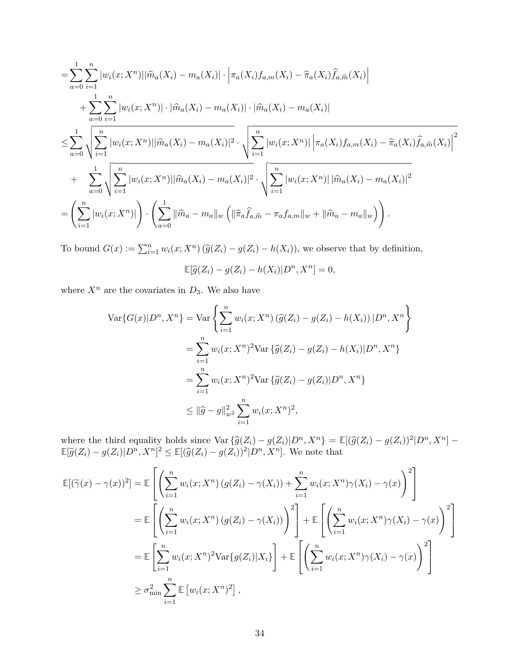$$
= \sum_{a=0}^{1} \sum_{i=1}^{n} |w_i(x; X^n)||\widehat{m}_a(X_i) - m_a(X_i)| \cdot \left| \pi_a(X_i) f_{a,m}(X_i) - \widehat{\pi}_a(X_i) \widehat{f}_{a,\widehat{m}}(X_i) \right| + \sum_{a=0}^{1} \sum_{i=1}^{n} |w_i(x; X^n)| \cdot |\widehat{m}_a(X_i) - m_a(X_i)| \cdot |\widehat{m}_a(X_i) - m_a(X_i)| \n\leq \sum_{a=0}^{1} \sqrt{\sum_{i=1}^{n} |w_i(x; X^n)||\widehat{m}_a(X_i) - m_a(X_i)|^2} \cdot \sqrt{\sum_{i=1}^{n} |w_i(x; X^n)||\pi_a(X_i) f_{a,m}(X_i) - \widehat{\pi}_a(X_i) \widehat{f}_{a,\widehat{m}}(X_i)|^2} + \sum_{a=0}^{1} \sqrt{\sum_{i=1}^{n} |w_i(x; X^n)||\widehat{m}_a(X_i) - m_a(X_i)|^2} \cdot \sqrt{\sum_{i=1}^{n} |w_i(x; X^n)||\widehat{m}_a(X_i) - m_a(X_i)|^2} = \left(\sum_{i=1}^{n} |w_i(x; X^n)||\right) \cdot \left(\sum_{a=0}^{1} ||\widehat{m}_a - m_a||_w (\|\widehat{\pi}_a \widehat{f}_{a,\widehat{m}} - \pi_a f_{a,m}||_w + ||\widehat{m}_a - m_a||_w)\right).
$$

To bound  $G(x) := \sum_{i=1}^{n} w_i(x; X^n) (\widehat{g}(Z_i) - g(Z_i) - h(X_i))$ , we observe that by definition,  $\mathbb{E}[\hat{g}(Z_i) - g(Z_i) - h(X_i)|D^n, X^n] = 0,$ 

where  $X^n$  are the covariates in  $D_3$ . We also have

$$
\operatorname{Var}\{G(x)|D^n, X^n\} = \operatorname{Var}\left\{\sum_{i=1}^n w_i(x; X^n) \left(\hat{g}(Z_i) - g(Z_i) - h(X_i)\right)|D^n, X^n\right\}
$$
  
= 
$$
\sum_{i=1}^n w_i(x; X^n)^2 \operatorname{Var}\left\{\hat{g}(Z_i) - g(Z_i) - h(X_i)|D^n, X^n\right\}
$$
  
= 
$$
\sum_{i=1}^n w_i(x; X^n)^2 \operatorname{Var}\left\{\hat{g}(Z_i) - g(Z_i)|D^n, X^n\right\}
$$
  
\$\leq \|\hat{g} - g\|\_{w^2}^2 \sum\_{i=1}^n w\_i(x; X^n)^2,

where the third equality holds since  $\text{Var}\left\{\hat{g}(Z_i) - g(Z_i)|D^n, X^n\right\} = \mathbb{E}[(\hat{g}(Z_i) - g(Z_i))^2|D^n, X^n] - \mathbb{E}[\hat{g}(Z_i) - g(Z_i)|D^n, X^n] - \mathbb{E}[\hat{g}(Z_i) - g(Z_i)|D^n, X^n]$  $\mathbb{E}[\widehat{g}(Z_i) - g(Z_i)|D^n, X^n]^2 \leq \mathbb{E}[(\widehat{g}(Z_i) - g(Z_i))^2|D^n, X^n]$ . We note that

$$
\mathbb{E}[(\widetilde{\gamma}(x) - \gamma(x))^2] = \mathbb{E}\left[\left(\sum_{i=1}^n w_i(x; X^n) \left(g(Z_i) - \gamma(X_i)\right) + \sum_{i=1}^n w_i(x; X^n) \gamma(X_i) - \gamma(x)\right)^2\right]
$$
  
\n
$$
= \mathbb{E}\left[\left(\sum_{i=1}^n w_i(x; X^n) \left(g(Z_i) - \gamma(X_i)\right)\right)^2\right] + \mathbb{E}\left[\left(\sum_{i=1}^n w_i(x; X^n) \gamma(X_i) - \gamma(x)\right)^2\right]
$$
  
\n
$$
= \mathbb{E}\left[\sum_{i=1}^n w_i(x; X^n)^2 \text{Var}\{g(Z_i)|X_i\}\right] + \mathbb{E}\left[\left(\sum_{i=1}^n w_i(x; X^n) \gamma(X_i) - \gamma(x)\right)^2\right]
$$
  
\n
$$
\geq \sigma_{\min}^2 \sum_{i=1}^n \mathbb{E}\left[w_i(x; X^n)^2\right],
$$